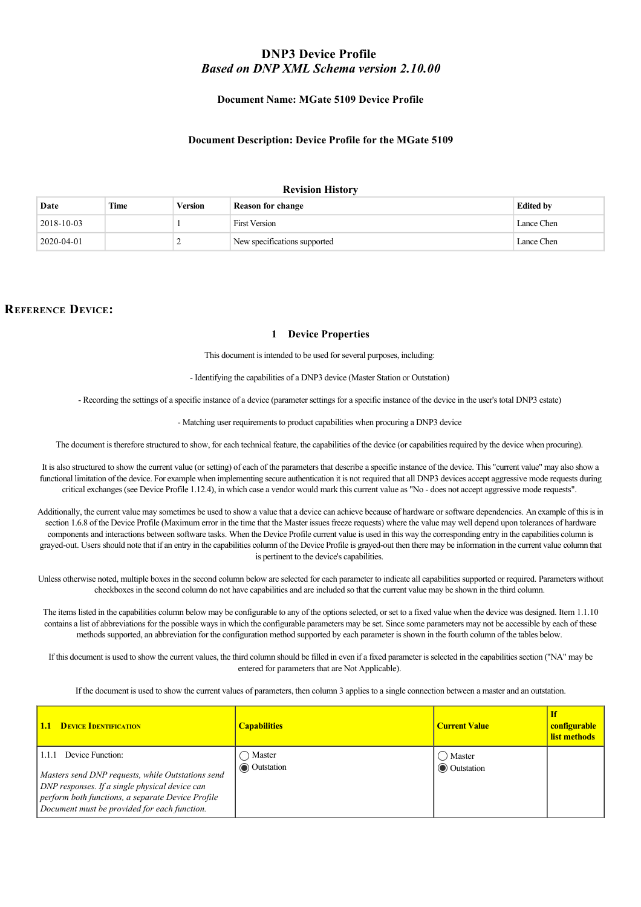# **DNP3 Device Profile**  *Based on DNP XML Schema version 2.10.00*

### **Document Name: MGate 5109 Device Profile**

#### **Document Description: Device Profile for the MGate 5109**

#### **Revision History**

| Date               | Time | Version | <b>Reason for change</b>     | <b>Edited by</b> |
|--------------------|------|---------|------------------------------|------------------|
| $ 2018 - 10 - 03 $ |      |         | <b>First Version</b>         | Lance Chen       |
| 2020-04-01         |      |         | New specifications supported | Lance Chen       |

## **REFERENCE DEVICE:**

#### **1 Device Properties**

This document is intended to be used for several purposes, including:

Identifying the capabilities of a DNP3 device (Master Station or Outstation)

Recording the settings of a specific instance of a device (parameter settings for a specific instance of the device in the user's total DNP3 estate)

Matching user requirements to product capabilities when procuring a DNP3 device

The document is therefore structured to show, for each technical feature, the capabilities of the device (or capabilities required by the device when procuring).

It is also structured to show the current value (or setting) of each of the parameters that describe a specific instance of the device. This "current value" may also show a functional limitation of the device. For example when implementing secure authentication it is not required that all DNP3 devices accept aggressive mode requests during critical exchanges (see Device Profile 1.12.4), in which case a vendor would mark this current value as "No - does not accept aggressive mode requests".

Additionally, the current value may sometimes be used to show a value that a device can achieve because of hardware or software dependencies. An example of this is in section 1.6.8 of the Device Profile (Maximum error in the time that the Master issues freeze requests) where the value may well depend upon tolerances of hardware components and interactions between software tasks. When the Device Profile current value is used in this way the corresponding entry in the capabilities column is grayed-out. Users should note that if an entry in the capabilities column of the Device Profile is grayed-out then there may be information in the current value column that is pertinent to the device's capabilities.

Unless otherwise noted, multiple boxes in the second column below are selected for each parameter to indicate all capabilities supported or required. Parameters without checkboxes in the second column do not have capabilities and are included so that the current value may be shown in the third column.

The items listed in the capabilities column below may be configurable to any of the options selected, or set to a fixed value when the device was designed. Item 1.1.10 contains a list of abbreviations for the possible ways in which the configurable parameters may be set. Since some parameters may not be accessible by each of these methods supported, an abbreviation for the configuration method supported by each parameter is shown in the fourth column of the tables below.

If this document is used to show the current values, the third column should be filled in even if a fixed parameter is selected in the capabilities section ("NA" may be entered for parameters that are Not Applicable).

If the document is used to show the current values of parameters, then column 3 applies to a single connection between a master and an outstation.

| <b>DEVICE IDENTIFICATION</b><br>1.1                                                                                                                                                                                                   | <b>Capabilities</b>    | <b>Current Value</b>              | configurable<br>list methods |
|---------------------------------------------------------------------------------------------------------------------------------------------------------------------------------------------------------------------------------------|------------------------|-----------------------------------|------------------------------|
| Device Function:<br>1.1.1<br>Masters send DNP requests, while Outstations send<br>DNP responses. If a single physical device can<br>perform both functions, a separate Device Profile<br>Document must be provided for each function. | Master<br>O Outstation | (C) Master<br><b>O</b> Outstation |                              |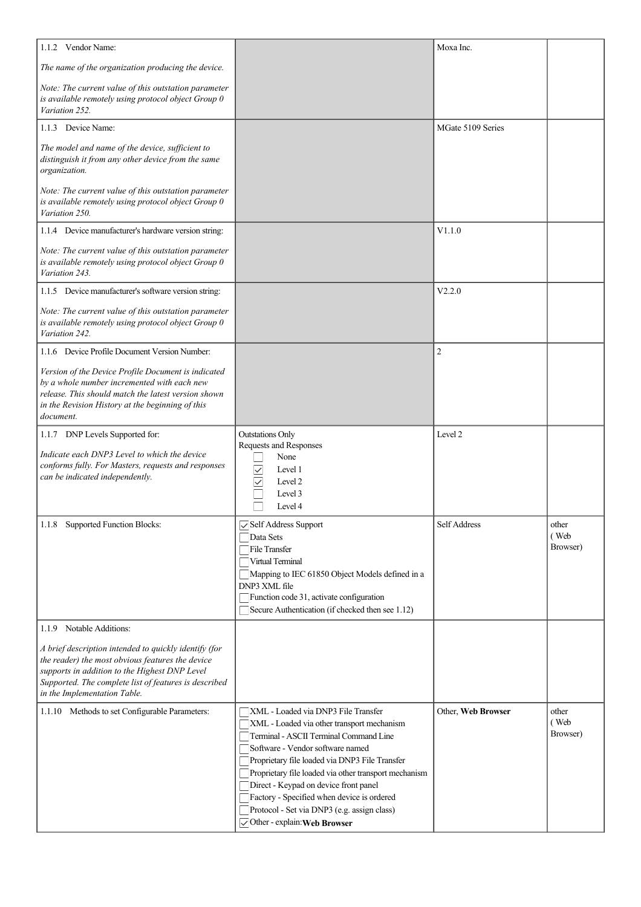| 1.1.2 Vendor Name:                                                                                                                                                                                                                                  |                                                                                                            | Moxa Inc.          |                  |
|-----------------------------------------------------------------------------------------------------------------------------------------------------------------------------------------------------------------------------------------------------|------------------------------------------------------------------------------------------------------------|--------------------|------------------|
| The name of the organization producing the device.                                                                                                                                                                                                  |                                                                                                            |                    |                  |
| Note: The current value of this outstation parameter<br>is available remotely using protocol object Group 0<br>Variation 252.                                                                                                                       |                                                                                                            |                    |                  |
| 1.1.3 Device Name:                                                                                                                                                                                                                                  |                                                                                                            | MGate 5109 Series  |                  |
| The model and name of the device, sufficient to<br>distinguish it from any other device from the same<br>organization.                                                                                                                              |                                                                                                            |                    |                  |
| Note: The current value of this outstation parameter<br>is available remotely using protocol object Group 0<br>Variation 250.                                                                                                                       |                                                                                                            |                    |                  |
| 1.1.4 Device manufacturer's hardware version string:                                                                                                                                                                                                |                                                                                                            | V1.1.0             |                  |
| Note: The current value of this outstation parameter<br>is available remotely using protocol object Group 0<br>Variation 243.                                                                                                                       |                                                                                                            |                    |                  |
| 1.1.5 Device manufacturer's software version string:                                                                                                                                                                                                |                                                                                                            | V2.2.0             |                  |
| Note: The current value of this outstation parameter<br>is available remotely using protocol object Group 0<br>Variation 242.                                                                                                                       |                                                                                                            |                    |                  |
| 1.1.6 Device Profile Document Version Number:                                                                                                                                                                                                       |                                                                                                            | $\overline{2}$     |                  |
| Version of the Device Profile Document is indicated<br>by a whole number incremented with each new<br>release. This should match the latest version shown<br>in the Revision History at the beginning of this<br>document.                          |                                                                                                            |                    |                  |
| 1.1.7 DNP Levels Supported for:                                                                                                                                                                                                                     | <b>Outstations Only</b>                                                                                    | Level 2            |                  |
| Indicate each DNP3 Level to which the device<br>conforms fully. For Masters, requests and responses<br>can be indicated independently.                                                                                                              | Requests and Responses<br>None<br>$\checkmark$<br>Level 1<br>$\checkmark$<br>Level 2<br>Level 3<br>Level 4 |                    |                  |
| 1.1.8 Supported Function Blocks:                                                                                                                                                                                                                    | Self Address Support                                                                                       | Self Address       | other            |
|                                                                                                                                                                                                                                                     | Data Sets<br>File Transfer                                                                                 |                    | (Web<br>Browser) |
|                                                                                                                                                                                                                                                     | Virtual Terminal                                                                                           |                    |                  |
|                                                                                                                                                                                                                                                     | Mapping to IEC 61850 Object Models defined in a<br>DNP3 XML file                                           |                    |                  |
|                                                                                                                                                                                                                                                     | Function code 31, activate configuration                                                                   |                    |                  |
|                                                                                                                                                                                                                                                     | Secure Authentication (if checked then see 1.12)                                                           |                    |                  |
| 1.1.9 Notable Additions:                                                                                                                                                                                                                            |                                                                                                            |                    |                  |
| A brief description intended to quickly identify (for<br>the reader) the most obvious features the device<br>supports in addition to the Highest DNP Level<br>Supported. The complete list of features is described<br>in the Implementation Table. |                                                                                                            |                    |                  |
| 1.1.10 Methods to set Configurable Parameters:                                                                                                                                                                                                      | XML - Loaded via DNP3 File Transfer                                                                        | Other, Web Browser | other            |
|                                                                                                                                                                                                                                                     | XML - Loaded via other transport mechanism<br>Terminal - ASCII Terminal Command Line                       |                    | (Web<br>Browser) |
|                                                                                                                                                                                                                                                     | Software - Vendor software named                                                                           |                    |                  |
|                                                                                                                                                                                                                                                     | Proprietary file loaded via DNP3 File Transfer                                                             |                    |                  |
|                                                                                                                                                                                                                                                     | Proprietary file loaded via other transport mechanism<br>Direct - Keypad on device front panel             |                    |                  |
|                                                                                                                                                                                                                                                     | Factory - Specified when device is ordered                                                                 |                    |                  |
|                                                                                                                                                                                                                                                     | Protocol - Set via DNP3 (e.g. assign class)<br>Other - explain: Web Browser                                |                    |                  |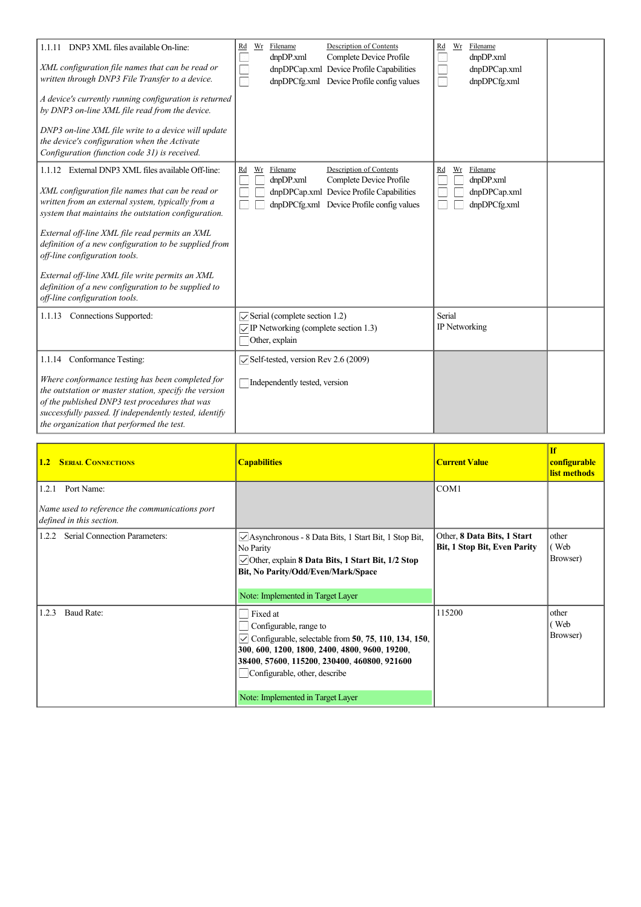| 1.1.11 DNP3 XML files available On-line:<br>XML configuration file names that can be read or<br>written through DNP3 File Transfer to a device.<br>A device's currently running configuration is returned<br>by DNP3 on-line XML file read from the device.<br>DNP3 on-line XML file write to a device will update<br>the device's configuration when the Activate<br>Configuration (function code 31) is received.                                                                                       | Description of Contents<br>Filename<br>$\underline{\mathrm{Wr}}$<br>$\underline{\mathrm{Rd}}$<br>Complete Device Profile<br>dnpDP.xml<br>dnpDPCap.xml Device Profile Capabilities<br>dnpDPCfg.xml Device Profile config values | Wr<br>Filename<br>Rd<br>$\Xi$<br>dnpDP.xml<br>dnpDPCap.xml<br>a)<br>dnpDPCfg.xml<br>$\mathcal{C}^{\mathcal{C}}$ |
|-----------------------------------------------------------------------------------------------------------------------------------------------------------------------------------------------------------------------------------------------------------------------------------------------------------------------------------------------------------------------------------------------------------------------------------------------------------------------------------------------------------|--------------------------------------------------------------------------------------------------------------------------------------------------------------------------------------------------------------------------------|-----------------------------------------------------------------------------------------------------------------|
| 1.1.12 External DNP3 XML files available Off-line:<br>XML configuration file names that can be read or<br>written from an external system, typically from a<br>system that maintains the outstation configuration.<br>External off-line XML file read permits an XML<br>definition of a new configuration to be supplied from<br>off-line configuration tools.<br>External off-line XML file write permits an XML<br>definition of a new configuration to be supplied to<br>off-line configuration tools. | Filename<br>Description of Contents<br>$\underline{\text{Wr}}$<br>$\underline{Rd}$<br>dnpDP.xml<br>Complete Device Profile<br>dnpDPCap.xml Device Profile Capabilities<br>dnpDPCfg.xml Device Profile config values            | Wr<br>Filename<br>$\underline{Rd}$<br>dnpDP.xml<br>dnpDPCap.xml<br>dnpDPCfg.xml                                 |
| 1.1.13 Connections Supported:                                                                                                                                                                                                                                                                                                                                                                                                                                                                             | $\sqrt{\frac{1}{2}}$ Serial (complete section 1.2)<br>$\sqrt{\text{IP}}$ Networking (complete section 1.3)<br>Other, explain                                                                                                   | Serial<br>IP Networking                                                                                         |
| 1.1.14 Conformance Testing:<br>Where conformance testing has been completed for<br>the outstation or master station, specify the version<br>of the published DNP3 test procedures that was<br>successfully passed. If independently tested, identify<br>the organization that performed the test.                                                                                                                                                                                                         | $\sqrt{\text{Self-test}}$ version Rev 2.6 (2009)<br>Independently tested, version                                                                                                                                              |                                                                                                                 |

| <b>1.2 SERIAL CONNECTIONS</b>                                                                     | <b>Capabilities</b>                                                                                                                                                                                                                                                       | <b>Current Value</b>                                               | <b>If</b><br>configurable<br>list methods |
|---------------------------------------------------------------------------------------------------|---------------------------------------------------------------------------------------------------------------------------------------------------------------------------------------------------------------------------------------------------------------------------|--------------------------------------------------------------------|-------------------------------------------|
| Port Name:<br>1.2.1<br>Name used to reference the communications port<br>defined in this section. |                                                                                                                                                                                                                                                                           | COM1                                                               |                                           |
| Serial Connection Parameters:<br>1.2.2                                                            | $\vee$ Asynchronous - 8 Data Bits, 1 Start Bit, 1 Stop Bit,<br>No Parity<br>$\vee$ Other, explain 8 Data Bits, 1 Start Bit, 1/2 Stop<br>Bit, No Parity/Odd/Even/Mark/Space<br>Note: Implemented in Target Layer                                                           | Other, 8 Data Bits, 1 Start<br><b>Bit, 1 Stop Bit, Even Parity</b> | other<br>(Web<br>Browser)                 |
| Baud Rate:<br>1.2.3                                                                               | Fixed at<br>Configurable, range to<br>$\vee$ Configurable, selectable from 50, 75, 110, 134, 150,<br>300, 600, 1200, 1800, 2400, 4800, 9600, 19200,<br>38400, 57600, 115200, 230400, 460800, 921600<br>Configurable, other, describe<br>Note: Implemented in Target Layer | 115200                                                             | other<br>(Web<br>Browser)                 |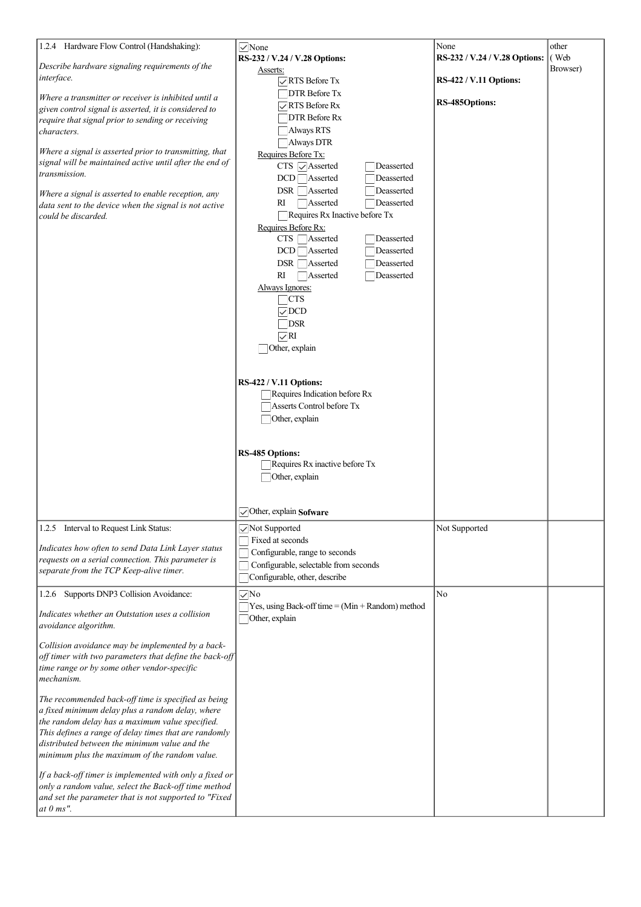| 1.2.4 Hardware Flow Control (Handshaking):<br>Describe hardware signaling requirements of the<br>interface.<br>Where a transmitter or receiver is inhibited until a<br>given control signal is asserted, it is considered to<br>require that signal prior to sending or receiving<br>characters.<br>Where a signal is asserted prior to transmitting, that<br>signal will be maintained active until after the end of<br>transmission.<br>Where a signal is asserted to enable reception, any<br>data sent to the device when the signal is not active<br>could be discarded.                                                                                                                                                                                                                                        | $\vee$ None<br>RS-232 / V.24 / V.28 Options:<br>Asserts:<br>$\sqrt{\ }$ RTS Before Tx<br>DTR Before Tx<br>$\sqrt{R}$ RTS Before Rx<br>□DTR Before Rx<br>Always RTS<br>Always DTR<br>Requires Before Tx:<br>$CTS \nightharpoondown$ Asserted<br>Deasserted<br>Deasserted<br>$DCD \bigcap \text{Asserted}$<br>$DSR \Box$ Asserted<br>Deasserted<br>Deasserted<br>RI<br>Asserted<br>Requires $Rx$ Inactive before $Tx$<br>Requires Before Rx:<br>$CTS$ $\Box$ Asserted<br>Deasserted<br>$DCD \Box$ Asserted<br>Deasserted<br>DSR Asserted<br>Deasserted<br>Asserted<br>Deasserted<br>RI<br>Always Ignores:<br>$\Box$ CTS<br>$\sqrt{DCD}$<br>$\Box$ DSR<br>$\sqrt{R}I$<br>Other, explain<br>RS-422 / V.11 Options:<br>$\Box$ Requires Indication before Rx<br>Asserts Control before Tx<br>Other, explain<br><b>RS-485 Options:</b><br>$\Box$ Requires Rx inactive before Tx<br>Other, explain | None<br>RS-232 / V.24 / V.28 Options:<br><b>RS-422 / V.11 Options:</b><br>RS-485Options: | other<br>(Web<br>Browser) |
|----------------------------------------------------------------------------------------------------------------------------------------------------------------------------------------------------------------------------------------------------------------------------------------------------------------------------------------------------------------------------------------------------------------------------------------------------------------------------------------------------------------------------------------------------------------------------------------------------------------------------------------------------------------------------------------------------------------------------------------------------------------------------------------------------------------------|--------------------------------------------------------------------------------------------------------------------------------------------------------------------------------------------------------------------------------------------------------------------------------------------------------------------------------------------------------------------------------------------------------------------------------------------------------------------------------------------------------------------------------------------------------------------------------------------------------------------------------------------------------------------------------------------------------------------------------------------------------------------------------------------------------------------------------------------------------------------------------------------|------------------------------------------------------------------------------------------|---------------------------|
| 1.2.5 Interval to Request Link Status:                                                                                                                                                                                                                                                                                                                                                                                                                                                                                                                                                                                                                                                                                                                                                                               | $\triangledown$ Other, explain Sofware<br>Not Supported                                                                                                                                                                                                                                                                                                                                                                                                                                                                                                                                                                                                                                                                                                                                                                                                                                    | Not Supported                                                                            |                           |
| Indicates how often to send Data Link Layer status<br>requests on a serial connection. This parameter is<br>separate from the TCP Keep-alive timer.                                                                                                                                                                                                                                                                                                                                                                                                                                                                                                                                                                                                                                                                  | Fixed at seconds<br>Configurable, range to seconds<br>Configurable, selectable from seconds<br>Configurable, other, describe                                                                                                                                                                                                                                                                                                                                                                                                                                                                                                                                                                                                                                                                                                                                                               |                                                                                          |                           |
| 1.2.6 Supports DNP3 Collision Avoidance:<br>Indicates whether an Outstation uses a collision<br>avoidance algorithm.<br>Collision avoidance may be implemented by a back-<br>off timer with two parameters that define the back-off<br>time range or by some other vendor-specific<br>mechanism.<br>The recommended back-off time is specified as being<br>a fixed minimum delay plus a random delay, where<br>the random delay has a maximum value specified.<br>This defines a range of delay times that are randomly<br>distributed between the minimum value and the<br>minimum plus the maximum of the random value.<br>If a back-off timer is implemented with only a fixed or<br>only a random value, select the Back-off time method<br>and set the parameter that is not supported to "Fixed<br>at $0$ ms". | $\sqrt{N}$<br>$\Box$ Yes, using Back-off time = (Min + Random) method<br>Other, explain                                                                                                                                                                                                                                                                                                                                                                                                                                                                                                                                                                                                                                                                                                                                                                                                    | No                                                                                       |                           |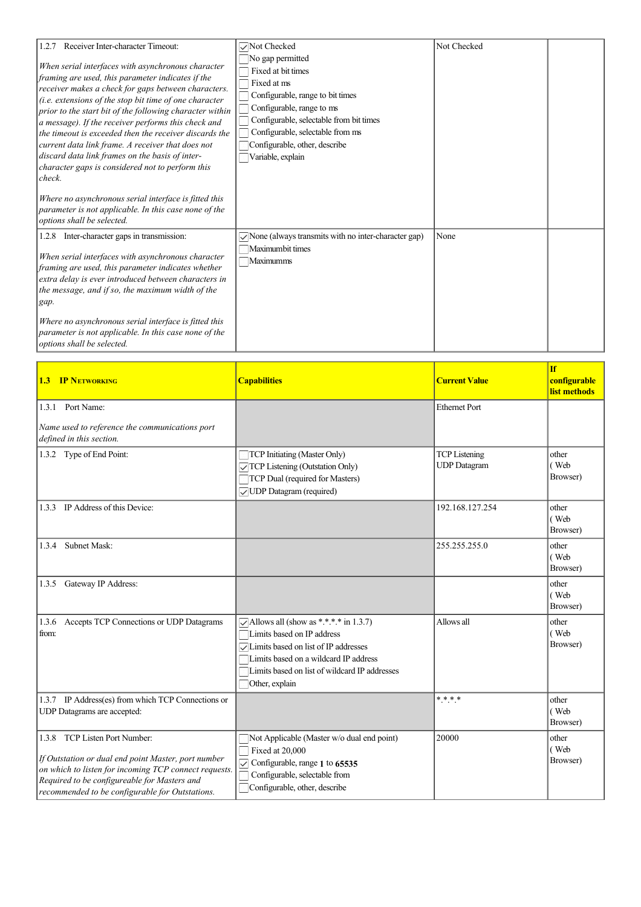| 1.2.7 Receiver Inter-character Timeout:<br>When serial interfaces with asynchronous character<br>framing are used, this parameter indicates if the<br>receiver makes a check for gaps between characters.<br>(i.e. extensions of the stop bit time of one character<br>prior to the start bit of the following character within<br>a message). If the receiver performs this check and<br>the timeout is exceeded then the receiver discards the<br>current data link frame. A receiver that does not<br>discard data link frames on the basis of inter-<br>character gaps is considered not to perform this<br>check.<br>Where no asynchronous serial interface is fitted this | Not Checked<br>No gap permitted<br>Fixed at bit times<br>Fixed at ms<br>Configurable, range to bit times<br>Configurable, range to ms<br>Configurable, selectable from bit times<br>Configurable, selectable from ms<br>Configurable, other, describe<br>Variable, explain | Not Checked |  |
|---------------------------------------------------------------------------------------------------------------------------------------------------------------------------------------------------------------------------------------------------------------------------------------------------------------------------------------------------------------------------------------------------------------------------------------------------------------------------------------------------------------------------------------------------------------------------------------------------------------------------------------------------------------------------------|----------------------------------------------------------------------------------------------------------------------------------------------------------------------------------------------------------------------------------------------------------------------------|-------------|--|
| parameter is not applicable. In this case none of the<br>options shall be selected.                                                                                                                                                                                                                                                                                                                                                                                                                                                                                                                                                                                             |                                                                                                                                                                                                                                                                            |             |  |
| 1.2.8 Inter-character gaps in transmission:<br>When serial interfaces with asynchronous character<br>framing are used, this parameter indicates whether<br>extra delay is ever introduced between characters in<br>the message, and if so, the maximum width of the<br>gap.                                                                                                                                                                                                                                                                                                                                                                                                     | $\sqrt{\phantom{a}}$ None (always transmits with no inter-character gap)<br>Maximumbit times<br>Maximumms                                                                                                                                                                  | None        |  |
| Where no asynchronous serial interface is fitted this<br>parameter is not applicable. In this case none of the<br>options shall be selected.                                                                                                                                                                                                                                                                                                                                                                                                                                                                                                                                    |                                                                                                                                                                                                                                                                            |             |  |

| <b>1.3 IP NETWORKING</b>                                                                                                                                                                                                                         | <b>Capabilities</b>                                                                                                                                                                                                                            | <b>Current Value</b>                        | <b>If</b><br>configurable<br>list methods |
|--------------------------------------------------------------------------------------------------------------------------------------------------------------------------------------------------------------------------------------------------|------------------------------------------------------------------------------------------------------------------------------------------------------------------------------------------------------------------------------------------------|---------------------------------------------|-------------------------------------------|
| 1.3.1 Port Name:<br>Name used to reference the communications port<br>defined in this section.                                                                                                                                                   |                                                                                                                                                                                                                                                | <b>Ethernet Port</b>                        |                                           |
| 1.3.2 Type of End Point:                                                                                                                                                                                                                         | TCP Initiating (Master Only)<br>TCP Listening (Outstation Only)<br>TCP Dual (required for Masters)<br>◯ UDP Datagram (required)                                                                                                                | <b>TCP</b> Listening<br><b>UDP</b> Datagram | other<br>(Web<br>Browser)                 |
| 1.3.3 IP Address of this Device:                                                                                                                                                                                                                 |                                                                                                                                                                                                                                                | 192.168.127.254                             | other<br>(Web<br>Browser)                 |
| Subnet Mask:<br>1.3.4                                                                                                                                                                                                                            |                                                                                                                                                                                                                                                | 255.255.255.0                               | other<br>(Web<br>Browser)                 |
| 1.3.5 Gateway IP Address:                                                                                                                                                                                                                        |                                                                                                                                                                                                                                                |                                             | other<br>(Web<br>Browser)                 |
| 1.3.6 Accepts TCP Connections or UDP Datagrams<br>from:                                                                                                                                                                                          | $\sqrt{\phantom{a}}$ Allows all (show as *.*.*.* in 1.3.7)<br>Limits based on IP address<br>√ Limits based on list of IP addresses<br>Limits based on a wildcard IP address<br>Limits based on list of wildcard IP addresses<br>Other, explain | Allows all                                  | other<br>(Web<br>Browser)                 |
| 1.3.7 IP Address(es) from which TCP Connections or<br>UDP Datagrams are accepted:                                                                                                                                                                |                                                                                                                                                                                                                                                | $* * * *$                                   | other<br>(Web<br>Browser)                 |
| 1.3.8 TCP Listen Port Number:<br>If Outstation or dual end point Master, port number<br>on which to listen for incoming TCP connect requests.<br>Required to be configureable for Masters and<br>recommended to be configurable for Outstations. | Not Applicable (Master w/o dual end point)<br>Fixed at 20,000<br>$\triangledown$ Configurable, range 1 to 65535<br>Configurable, selectable from<br>Configurable, other, describe                                                              | 20000                                       | other<br>(Web<br>Browser)                 |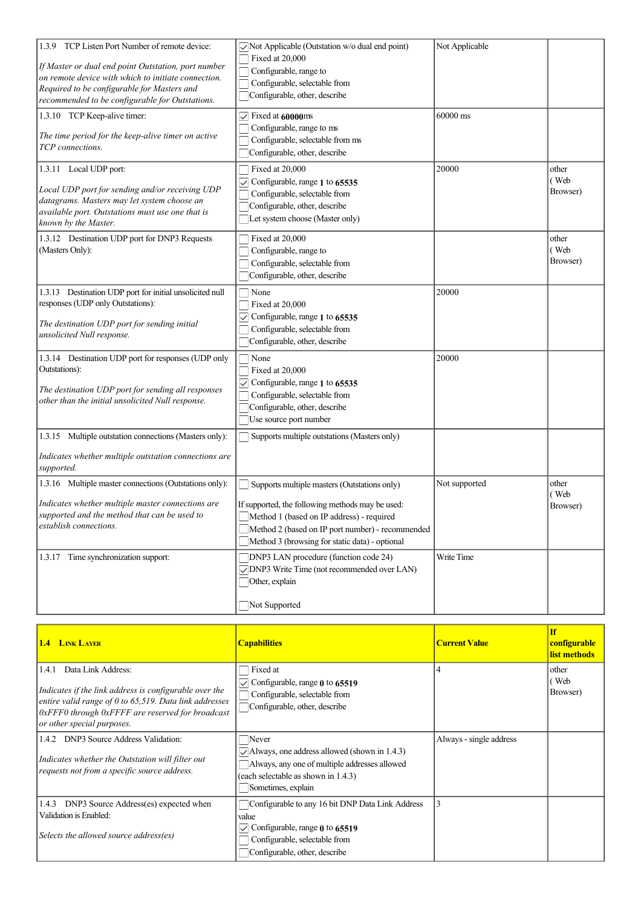| TCP Listen Port Number of remote device:<br>1.3.9<br>If Master or dual end point Outstation, port number<br>on remote device with which to initiate connection.<br>Required to be configurable for Masters and<br>recommended to be configurable for Outstations. | Not Applicable (Outstation w/o dual end point)<br>Fixed at 20,000<br>Configurable, range to<br>Configurable, selectable from<br>Configurable, other, describe                                                                                                                                                                                       | Not Applicable              |                           |
|-------------------------------------------------------------------------------------------------------------------------------------------------------------------------------------------------------------------------------------------------------------------|-----------------------------------------------------------------------------------------------------------------------------------------------------------------------------------------------------------------------------------------------------------------------------------------------------------------------------------------------------|-----------------------------|---------------------------|
| 1.3.10 TCP Keep-alive timer:<br>The time period for the keep-alive timer on active<br>TCP connections.                                                                                                                                                            | $\vee$ Fixed at 60000ms<br>Configurable, range to ms<br>Configurable, selectable from ms<br>Configurable, other, describe                                                                                                                                                                                                                           | 60000 ms                    |                           |
| 1.3.11 Local UDP port:<br>Local UDP port for sending and/or receiving UDP<br>datagrams. Masters may let system choose an<br>available port. Outstations must use one that is<br>known by the Master.                                                              | Fixed at 20,000<br>$\triangledown$ Configurable, range 1 to 65535<br>Configurable, selectable from<br>Configurable, other, describe<br>Let system choose (Master only)                                                                                                                                                                              | 20000                       | other<br>(Web<br>Browser) |
| 1.3.12 Destination UDP port for DNP3 Requests<br>(Masters Only):                                                                                                                                                                                                  | Fixed at 20,000<br>Configurable, range to<br>Configurable, selectable from<br>Configurable, other, describe                                                                                                                                                                                                                                         |                             | other<br>(Web<br>Browser) |
| 1.3.13 Destination UDP port for initial unsolicited null<br>responses (UDP only Outstations):<br>The destination UDP port for sending initial<br>unsolicited Null response.                                                                                       | None<br>Fixed at 20,000<br>Configurable, range 1 to 65535<br>Configurable, selectable from<br>Configurable, other, describe                                                                                                                                                                                                                         | 20000                       |                           |
| 1.3.14 Destination UDP port for responses (UDP only<br>Outstations):<br>The destination UDP port for sending all responses<br>other than the initial unsolicited Null response.                                                                                   | $\Box$ None<br>$\Box$ Fixed at 20,000<br>$\sqrt{\phantom{a}}$ Configurable, range 1 to 65535<br>Configurable, selectable from<br>Configurable, other, describe<br>Use source port number                                                                                                                                                            | 20000                       |                           |
| 1.3.15 Multiple outstation connections (Masters only):<br>Indicates whether multiple outstation connections are<br>supported.                                                                                                                                     | Supports multiple outstations (Masters only)                                                                                                                                                                                                                                                                                                        |                             |                           |
| 1.3.16 Multiple master connections (Outstations only):<br>Indicates whether multiple master connections are<br>supported and the method that can be used to<br>establish connections.<br>1.3.17 Time synchronization support:                                     | Supports multiple masters (Outstations only)<br>If supported, the following methods may be used:<br>Method 1 (based on IP address) - required<br>Method 2 (based on IP port number) - recommended<br>Method 3 (browsing for static data) - optional<br><b>DNP3</b> LAN procedure (function code 24)<br>○ DNP3 Write Time (not recommended over LAN) | Not supported<br>Write Time | other<br>(Web<br>Browser) |
|                                                                                                                                                                                                                                                                   | Other, explain<br>Not Supported                                                                                                                                                                                                                                                                                                                     |                             |                           |

| <b>1.4 LINK LAYER</b>                                                                                                                                                                                                                         | <b>Capabilities</b>                                                                                                                                                        | <b>Current Value</b>    | <b>If</b><br>configurable<br>list methods |
|-----------------------------------------------------------------------------------------------------------------------------------------------------------------------------------------------------------------------------------------------|----------------------------------------------------------------------------------------------------------------------------------------------------------------------------|-------------------------|-------------------------------------------|
| Data Link Address:<br>1.4.1<br>Indicates if the link address is configurable over the<br>entire valid range of 0 to $65,519$ . Data link addresses<br>$\alpha$ oxFFF0 through 0xFFFF are reserved for broadcast<br>or other special purposes. | Fixed at<br>$\triangledown$ Configurable, range 0 to 65519<br>Configurable, selectable from<br>Configurable, other, describe                                               |                         | other<br>(Web<br>Browser)                 |
| 1.4.2 DNP3 Source Address Validation:<br>Indicates whether the Outstation will filter out<br>requests not from a specific source address.                                                                                                     | Never<br>$\vee$ Always, one address allowed (shown in 1.4.3)<br>Always, any one of multiple addresses allowed<br>(each selectable as shown in 1.4.3)<br>Sometimes, explain | Always - single address |                                           |
| 1.4.3 DNP3 Source Address(es) expected when<br>Validation is Enabled:<br>Selects the allowed source address(es)                                                                                                                               | Configurable to any 16 bit DNP Data Link Address<br>value<br>Configurable, range $\theta$ to 65519<br>Configurable, selectable from<br>Configurable, other, describe       |                         |                                           |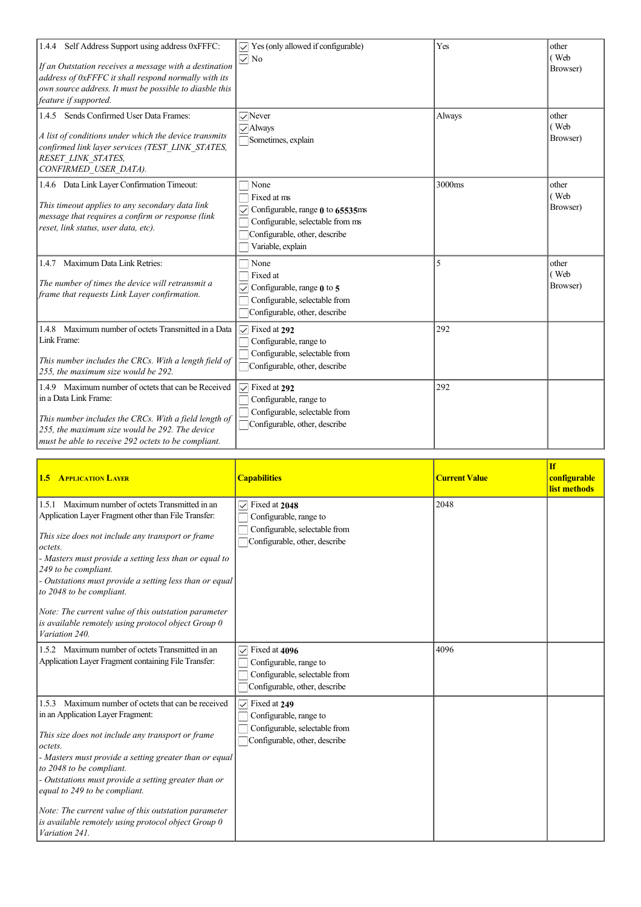| 1.4.4 Self Address Support using address 0xFFFC:<br>If an Outstation receives a message with a destination<br>address of 0xFFFC it shall respond normally with its<br>own source address. It must be possible to diasble this<br>feature if supported. | $\triangledown$ Yes (only allowed if configurable)<br>$\sqrt{ }$ No                                                                                                         | Yes            | other<br>(Web<br>Browser) |
|--------------------------------------------------------------------------------------------------------------------------------------------------------------------------------------------------------------------------------------------------------|-----------------------------------------------------------------------------------------------------------------------------------------------------------------------------|----------------|---------------------------|
| 1.4.5 Sends Confirmed User Data Frames:<br>A list of conditions under which the device transmits<br>confirmed link layer services (TEST LINK STATES,<br>RESET_LINK_STATES,<br>CONFIRMED USER DATA).                                                    | $\sqrt{N}$ ever<br>$\sqrt{\text{Always}}$<br>Sometimes, explain                                                                                                             | Always         | other<br>(Web<br>Browser) |
| 1.4.6 Data Link Layer Confirmation Timeout:<br>This timeout applies to any secondary data link<br>message that requires a confirm or response (link<br>reset, link status, user data, etc).                                                            | $\Box$ None<br>Fixed at ms<br>$\sqrt{\ }$ Configurable, range $\theta$ to 65535ms<br>Configurable, selectable from ms<br>Configurable, other, describe<br>Variable, explain | 3000ms         | other<br>(Web<br>Browser) |
| 1.4.7 Maximum Data Link Retries:<br>The number of times the device will retransmit a<br>frame that requests Link Layer confirmation.                                                                                                                   | None<br>□ Fixed at<br>$\triangledown$ Configurable, range $\boldsymbol{0}$ to 5<br>Configurable, selectable from<br>Configurable, other, describe                           | $\overline{5}$ | other<br>(Web<br>Browser) |
| 1.4.8 Maximum number of octets Transmitted in a Data<br>Link Frame:<br>This number includes the CRCs. With a length field of<br>255, the maximum size would be 292.                                                                                    | $\triangledown$ Fixed at 292<br>Configurable, range to<br>Configurable, selectable from<br>Configurable, other, describe                                                    | 292            |                           |
| 1.4.9 Maximum number of octets that can be Received<br>in a Data Link Frame:<br>This number includes the CRCs. With a field length of<br>255, the maximum size would be 292. The device<br>must be able to receive 292 octets to be compliant.         | $\sqrt{\phantom{a}}$ Fixed at 292<br>Configurable, range to<br>Configurable, selectable from<br>Configurable, other, describe                                               | 292            |                           |

| <b>1.5 APPLICATION LAYER</b>                                                                                                                                                                                                                                                                                                                                                                                                                                                       | <b>Capabilities</b>                                                                                                       | <b>Current Value</b> | <b>If</b><br>configurable<br>list methods |
|------------------------------------------------------------------------------------------------------------------------------------------------------------------------------------------------------------------------------------------------------------------------------------------------------------------------------------------------------------------------------------------------------------------------------------------------------------------------------------|---------------------------------------------------------------------------------------------------------------------------|----------------------|-------------------------------------------|
| 1.5.1 Maximum number of octets Transmitted in an<br>Application Layer Fragment other than File Transfer:<br>This size does not include any transport or frame<br>octets.<br>- Masters must provide a setting less than or equal to<br>249 to be compliant.<br>- Outstations must provide a setting less than or equal<br>to 2048 to be compliant.<br>Note: The current value of this outstation parameter<br>is available remotely using protocol object Group 0<br>Variation 240. | Fixed at 2048<br>$\checkmark$<br>Configurable, range to<br>Configurable, selectable from<br>Configurable, other, describe | 2048                 |                                           |
| 1.5.2 Maximum number of octets Transmitted in an<br>Application Layer Fragment containing File Transfer:                                                                                                                                                                                                                                                                                                                                                                           | $\triangledown$ Fixed at 4096<br>Configurable, range to<br>Configurable, selectable from<br>Configurable, other, describe | 4096                 |                                           |
| Maximum number of octets that can be received<br>1.5.3<br>in an Application Layer Fragment:<br>This size does not include any transport or frame<br>octets.<br>- Masters must provide a setting greater than or equal<br>to 2048 to be compliant.<br>- Outstations must provide a setting greater than or<br>equal to 249 to be compliant.<br>Note: The current value of this outstation parameter<br>is available remotely using protocol object Group 0<br>Variation 241.        | $\triangledown$ Fixed at 249<br>Configurable, range to<br>Configurable, selectable from<br>Configurable, other, describe  |                      |                                           |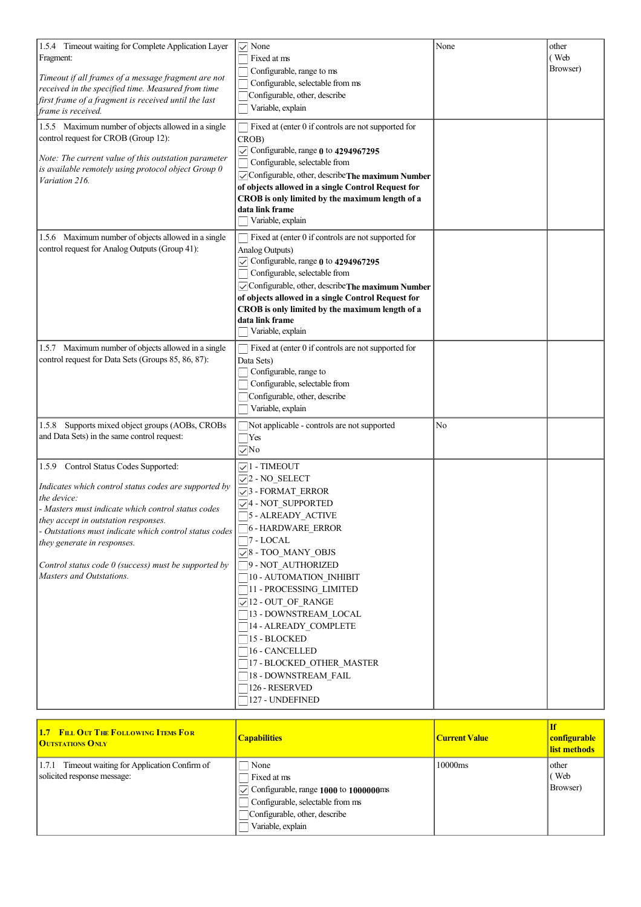| 1.5.4 Timeout waiting for Complete Application Layer<br>Fragment:<br>Timeout if all frames of a message fragment are not<br>received in the specified time. Measured from time<br>first frame of a fragment is received until the last<br>frame is received.                                                                                                                               | $\vee$ None<br>Fixed at ms<br>Configurable, range to ms<br>Configurable, selectable from ms<br>Configurable, other, describe<br>Variable, explain                                                                                                                                                                                                                                                                                                                                                      | None | other<br>(Web<br>Browser) |
|--------------------------------------------------------------------------------------------------------------------------------------------------------------------------------------------------------------------------------------------------------------------------------------------------------------------------------------------------------------------------------------------|--------------------------------------------------------------------------------------------------------------------------------------------------------------------------------------------------------------------------------------------------------------------------------------------------------------------------------------------------------------------------------------------------------------------------------------------------------------------------------------------------------|------|---------------------------|
| 1.5.5 Maximum number of objects allowed in a single<br>control request for CROB (Group 12):<br>Note: The current value of this outstation parameter<br>is available remotely using protocol object Group 0<br>Variation 216.                                                                                                                                                               | Fixed at (enter 0 if controls are not supported for<br>CROB)<br>$\sqrt{\ }$ Configurable, range 0 to 4294967295<br>Configurable, selectable from<br>Configurable, other, describeThe maximum Number<br>of objects allowed in a single Control Request for<br>CROB is only limited by the maximum length of a<br>data link frame<br>Variable, explain                                                                                                                                                   |      |                           |
| 1.5.6 Maximum number of objects allowed in a single<br>control request for Analog Outputs (Group 41):                                                                                                                                                                                                                                                                                      | Fixed at (enter 0 if controls are not supported for<br>Analog Outputs)<br>$\sqrt{\ }$ Configurable, range 0 to 4294967295<br>Configurable, selectable from<br>✓ Configurable, other, describe The maximum Number<br>of objects allowed in a single Control Request for<br>CROB is only limited by the maximum length of a<br>data link frame<br>Variable, explain                                                                                                                                      |      |                           |
| 1.5.7 Maximum number of objects allowed in a single<br>control request for Data Sets (Groups 85, 86, 87):                                                                                                                                                                                                                                                                                  | Fixed at (enter 0 if controls are not supported for<br>Data Sets)<br>Configurable, range to<br>Configurable, selectable from<br>Configurable, other, describe<br>Variable, explain                                                                                                                                                                                                                                                                                                                     |      |                           |
| Supports mixed object groups (AOBs, CROBs<br>1.5.8<br>and Data Sets) in the same control request:                                                                                                                                                                                                                                                                                          | Not applicable - controls are not supported<br>$\exists$ Yes<br>$\sqrt{N}$                                                                                                                                                                                                                                                                                                                                                                                                                             | No   |                           |
| 1.5.9 Control Status Codes Supported:<br>Indicates which control status codes are supported by<br>the device:<br>- Masters must indicate which control status codes<br>they accept in outstation responses.<br>- Outstations must indicate which control status codes<br>they generate in responses.<br>Control status code $0$ (success) must be supported by<br>Masters and Outstations. | $\sqrt{1 - \text{TIMEOUT}}$<br>$\sqrt{2}$ - NO_SELECT<br>$\sqrt{3}$ - FORMAT_ERROR<br>$\sqrt{4}$ - NOT SUPPORTED<br>5 - ALREADY ACTIVE<br>6 - HARDWARE_ERROR<br>$\neg$ 7 - LOCAL<br>$\sqrt{8}$ - TOO_MANY_OBJS<br>9 - NOT AUTHORIZED<br>10 - AUTOMATION_INHIBIT<br>11 - PROCESSING_LIMITED<br>$\sqrt{12}$ - OUT_OF_RANGE<br>13 - DOWNSTREAM_LOCAL<br>14 - ALREADY_COMPLETE<br>15 - BLOCKED<br>16 - CANCELLED<br>17 - BLOCKED_OTHER_MASTER<br>18 - DOWNSTREAM_FAIL<br>126 - RESERVED<br>127 - UNDEFINED |      |                           |

| <b>1.7 FILL OUT THE FOLLOWING ITEMS FOR</b><br><b>OUTSTATIONS ONLY</b>          | <b>Capabilities</b>                                                                                                                                                | <b>Current Value</b> | configurable<br>list methods  |
|---------------------------------------------------------------------------------|--------------------------------------------------------------------------------------------------------------------------------------------------------------------|----------------------|-------------------------------|
| 1.7.1 Timeout waiting for Application Confirm of<br>solicited response message: | None<br>Fixed at ms<br>$\sqrt{\ }$ Configurable, range 1000 to 1000000ms<br>Configurable, selectable from ms<br>Configurable, other, describe<br>Variable, explain | 10000ms              | l other<br>l (Web<br>Browser) |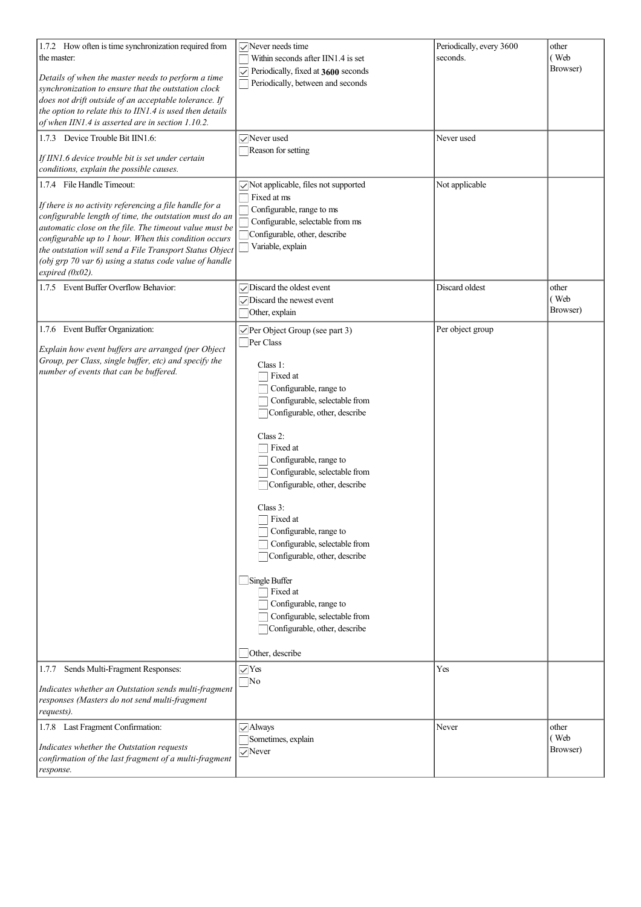| 1.7.2 How often is time synchronization required from    | $\sqrt{\ }$ Never needs time                        | Periodically, every 3600 | other    |
|----------------------------------------------------------|-----------------------------------------------------|--------------------------|----------|
| the master:                                              | Within seconds after IIN1.4 is set                  | seconds.                 | (Web     |
|                                                          | $\triangledown$ Periodically, fixed at 3600 seconds |                          | Browser) |
| Details of when the master needs to perform a time       | Periodically, between and seconds                   |                          |          |
| synchronization to ensure that the outstation clock      |                                                     |                          |          |
| does not drift outside of an acceptable tolerance. If    |                                                     |                          |          |
| the option to relate this to IIN1.4 is used then details |                                                     |                          |          |
| of when IIN1.4 is asserted are in section 1.10.2.        |                                                     |                          |          |
| 1.7.3 Device Trouble Bit IIN1.6:                         | $\sqrt{\ }$ Never used                              | Never used               |          |
|                                                          | Reason for setting                                  |                          |          |
| If IIN1.6 device trouble bit is set under certain        |                                                     |                          |          |
| conditions, explain the possible causes.                 |                                                     |                          |          |
| 1.7.4 File Handle Timeout:                               | $\sqrt{\ }$ Not applicable, files not supported     | Not applicable           |          |
|                                                          | $\Box$ Fixed at ms                                  |                          |          |
| If there is no activity referencing a file handle for a  | Configurable, range to ms                           |                          |          |
| configurable length of time, the outstation must do an   | Configurable, selectable from ms                    |                          |          |
| automatic close on the file. The timeout value must be   | Configurable, other, describe                       |                          |          |
| configurable up to 1 hour. When this condition occurs    | Variable, explain                                   |                          |          |
| the outstation will send a File Transport Status Object  |                                                     |                          |          |
| (obj grp 70 var 6) using a status code value of handle   |                                                     |                          |          |
| expired $(0x02)$ .                                       |                                                     |                          |          |
| 1.7.5 Event Buffer Overflow Behavior:                    | $\sqrt{\phantom{a}}$ Discard the oldest event       | Discard oldest           | other    |
|                                                          | $\sqrt{\frac{1}{2}}$ Discard the newest event       |                          | (Web     |
|                                                          | Other, explain                                      |                          | Browser) |
| 1.7.6 Event Buffer Organization:                         |                                                     | Per object group         |          |
|                                                          | $\vee$ Per Object Group (see part 3)                |                          |          |
| Explain how event buffers are arranged (per Object       | Per Class                                           |                          |          |
| Group, per Class, single buffer, etc) and specify the    |                                                     |                          |          |
| number of events that can be buffered.                   | Class 1:<br>Fixed at                                |                          |          |
|                                                          |                                                     |                          |          |
|                                                          | Configurable, range to                              |                          |          |
|                                                          | Configurable, selectable from                       |                          |          |
|                                                          | Configurable, other, describe                       |                          |          |
|                                                          |                                                     |                          |          |
|                                                          | Class 2:                                            |                          |          |
|                                                          | Fixed at                                            |                          |          |
|                                                          | Configurable, range to                              |                          |          |
|                                                          | Configurable, selectable from                       |                          |          |
|                                                          | Configurable, other, describe                       |                          |          |
|                                                          |                                                     |                          |          |
|                                                          | Class 3:                                            |                          |          |
|                                                          | $\Box$ Fixed at                                     |                          |          |
|                                                          | Configurable, range to                              |                          |          |
|                                                          | Configurable, selectable from                       |                          |          |
|                                                          | Configurable, other, describe                       |                          |          |
|                                                          |                                                     |                          |          |
|                                                          | Single Buffer                                       |                          |          |
|                                                          | $\Box$ Fixed at                                     |                          |          |
|                                                          | Configurable, range to                              |                          |          |
|                                                          |                                                     |                          |          |
|                                                          | Configurable, selectable from                       |                          |          |
|                                                          | Configurable, other, describe                       |                          |          |
|                                                          |                                                     |                          |          |
|                                                          | Other, describe                                     |                          |          |
| Sends Multi-Fragment Responses:<br>1.7.7                 | $\vee$ Yes                                          | Yes                      |          |
|                                                          | $\Box$ No                                           |                          |          |
| Indicates whether an Outstation sends multi-fragment     |                                                     |                          |          |
| responses (Masters do not send multi-fragment            |                                                     |                          |          |
| requests).                                               |                                                     |                          |          |
| 1.7.8 Last Fragment Confirmation:                        | $\sqrt{\text{Always}}$                              | Never                    | other    |
|                                                          | Sometimes, explain                                  |                          | (Web     |
| Indicates whether the Outstation requests                | $\vee$ Never                                        |                          | Browser) |
| confirmation of the last fragment of a multi-fragment    |                                                     |                          |          |
| response.                                                |                                                     |                          |          |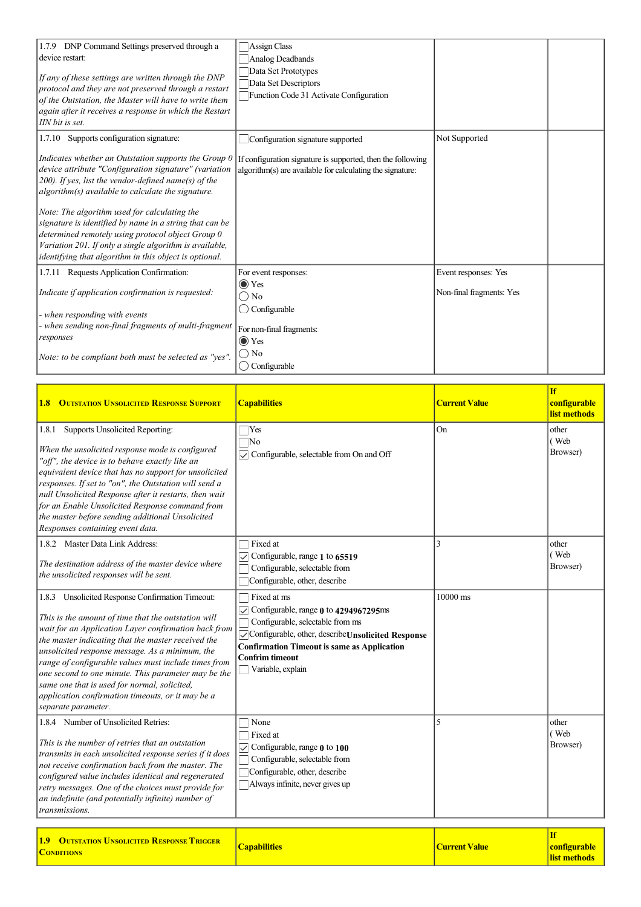| 1.7.9 DNP Command Settings preserved through a<br>device restart:<br>If any of these settings are written through the DNP<br>protocol and they are not preserved through a restart<br>of the Outstation, the Master will have to write them<br>again after it receives a response in which the Restart<br>IIN bit is set.                                                                                                                                                                                                     | Assign Class<br>Analog Deadbands<br>Data Set Prototypes<br>Data Set Descriptors<br>Function Code 31 Activate Configuration |                          |  |
|-------------------------------------------------------------------------------------------------------------------------------------------------------------------------------------------------------------------------------------------------------------------------------------------------------------------------------------------------------------------------------------------------------------------------------------------------------------------------------------------------------------------------------|----------------------------------------------------------------------------------------------------------------------------|--------------------------|--|
| 1.7.10 Supports configuration signature:                                                                                                                                                                                                                                                                                                                                                                                                                                                                                      | Configuration signature supported                                                                                          | Not Supported            |  |
| Indicates whether an Outstation supports the Group 0<br>device attribute "Configuration signature" (variation<br>$(200)$ . If yes, list the vendor-defined name(s) of the<br>$\alpha$ algorithm(s) available to calculate the signature.<br>Note: The algorithm used for calculating the<br>signature is identified by name in a string that can be<br>determined remotely using protocol object Group 0<br>Variation 201. If only a single algorithm is available,<br>identifying that algorithm in this object is optional. | If configuration signature is supported, then the following<br>algorithm(s) are available for calculating the signature:   |                          |  |
| 1.7.11 Requests Application Confirmation:                                                                                                                                                                                                                                                                                                                                                                                                                                                                                     | For event responses:                                                                                                       | Event responses: Yes     |  |
| Indicate if application confirmation is requested:<br>- when responding with events                                                                                                                                                                                                                                                                                                                                                                                                                                           | $\odot$ Yes<br>∩ No<br>Configurable                                                                                        | Non-final fragments: Yes |  |
| - when sending non-final fragments of multi-fragment<br>responses                                                                                                                                                                                                                                                                                                                                                                                                                                                             | For non-final fragments:<br>$\odot$ Yes                                                                                    |                          |  |
| Note: to be compliant both must be selected as "yes".                                                                                                                                                                                                                                                                                                                                                                                                                                                                         | $\bigcirc$ No<br>$\bigcirc$ Configurable                                                                                   |                          |  |

| <b>1.8 OUTSTATION UNSOLICITED RESPONSE SUPPORT</b>                                                                                                                                                                                                                                                                                                                                                                                                                                                                  | <b>Capabilities</b>                                                                                                                                                                                                                                                      | <b>Current Value</b> | <b>If</b><br>configurable<br>list methods |
|---------------------------------------------------------------------------------------------------------------------------------------------------------------------------------------------------------------------------------------------------------------------------------------------------------------------------------------------------------------------------------------------------------------------------------------------------------------------------------------------------------------------|--------------------------------------------------------------------------------------------------------------------------------------------------------------------------------------------------------------------------------------------------------------------------|----------------------|-------------------------------------------|
| 1.8.1 Supports Unsolicited Reporting:<br>When the unsolicited response mode is configured<br>"off", the device is to behave exactly like an<br>equivalent device that has no support for unsolicited<br>responses. If set to "on", the Outstation will send a<br>null Unsolicited Response after it restarts, then wait<br>for an Enable Unsolicited Response command from<br>the master before sending additional Unsolicited<br>Responses containing event data.                                                  | $\Box$ Yes<br>$\Box$ No<br>◯ Configurable, selectable from On and Off                                                                                                                                                                                                    | On                   | other<br>(Web<br>Browser)                 |
| 1.8.2 Master Data Link Address:<br>The destination address of the master device where<br>the unsolicited responses will be sent.                                                                                                                                                                                                                                                                                                                                                                                    | Fixed at<br>$\triangledown$ Configurable, range 1 to 65519<br>Configurable, selectable from<br>Configurable, other, describe                                                                                                                                             | 3                    | other<br>(Web<br>Browser)                 |
| 1.8.3 Unsolicited Response Confirmation Timeout:<br>This is the amount of time that the outstation will<br>wait for an Application Layer confirmation back from<br>the master indicating that the master received the<br>unsolicited response message. As a minimum, the<br>range of configurable values must include times from<br>one second to one minute. This parameter may be the<br>same one that is used for normal, solicited,<br>application confirmation timeouts, or it may be a<br>separate parameter. | $\Box$ Fixed at ms<br>$\sqrt{\ }$ Configurable, range $0$ to 4294967295ms<br>Configurable, selectable from ms<br>Configurable, other, describe Unsolicited Response<br><b>Confirmation Timeout is same as Application</b><br><b>Confrim timeout</b><br>Variable, explain | $10000 \text{ ms}$   |                                           |
| 1.8.4 Number of Unsolicited Retries:<br>This is the number of retries that an outstation<br>transmits in each unsolicited response series if it does<br>not receive confirmation back from the master. The<br>configured value includes identical and regenerated<br>retry messages. One of the choices must provide for<br>an indefinite (and potentially infinite) number of<br>transmissions.                                                                                                                    | $\Box$ None<br>$\Box$ Fixed at<br>$\boxed{\smile}$ Configurable, range 0 to 100<br>Configurable, selectable from<br>Configurable, other, describe<br>Always infinite, never gives up                                                                                     | 5                    | other<br>(Web<br>Browser)                 |
| <b>1.0</b> OUTCRATION HNGOI IGITED <b>DESPONSE TRIGGED</b>                                                                                                                                                                                                                                                                                                                                                                                                                                                          |                                                                                                                                                                                                                                                                          |                      | <b>If</b>                                 |

| <b>1.9 OUTSTATION UNSOLICITED RESPONSE TRIGGER</b> | <b>Capabilities</b> | Current Value |
|----------------------------------------------------|---------------------|---------------|
| <b>CONDITIONS</b>                                  |                     |               |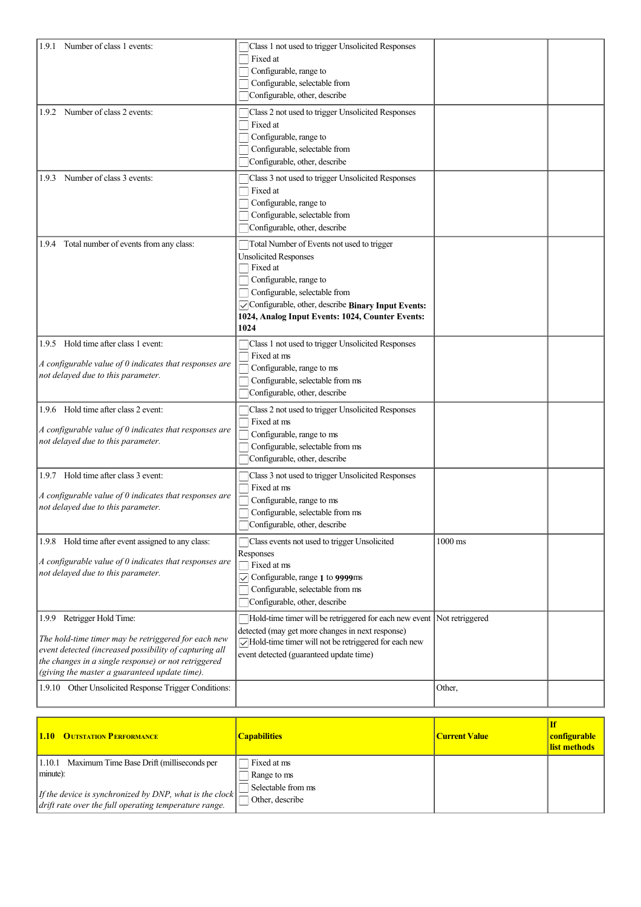| 1.9.1 Number of class 1 events:                                                                                                                                                                                                                      | Class 1 not used to trigger Unsolicited Responses<br>Fixed at<br>Configurable, range to<br>Configurable, selectable from<br>Configurable, other, describe                                                                                                                    |           |  |
|------------------------------------------------------------------------------------------------------------------------------------------------------------------------------------------------------------------------------------------------------|------------------------------------------------------------------------------------------------------------------------------------------------------------------------------------------------------------------------------------------------------------------------------|-----------|--|
| 1.9.2 Number of class 2 events:                                                                                                                                                                                                                      | Class 2 not used to trigger Unsolicited Responses<br>Fixed at<br>Configurable, range to<br>Configurable, selectable from<br>Configurable, other, describe                                                                                                                    |           |  |
| Number of class 3 events:<br>1.9.3                                                                                                                                                                                                                   | Class 3 not used to trigger Unsolicited Responses<br>Fixed at<br>Configurable, range to<br>Configurable, selectable from<br>Configurable, other, describe                                                                                                                    |           |  |
| 1.9.4 Total number of events from any class:                                                                                                                                                                                                         | Total Number of Events not used to trigger<br><b>Unsolicited Responses</b><br><b>T</b> Fixed at<br>Configurable, range to<br>Configurable, selectable from<br>Configurable, other, describe Binary Input Events:<br>1024, Analog Input Events: 1024, Counter Events:<br>1024 |           |  |
| 1.9.5 Hold time after class 1 event:<br>A configurable value of $0$ indicates that responses are<br>not delayed due to this parameter.                                                                                                               | Class 1 not used to trigger Unsolicited Responses<br>Fixed at ms<br>Configurable, range to ms<br>Configurable, selectable from ms<br>Configurable, other, describe                                                                                                           |           |  |
| 1.9.6 Hold time after class 2 event:<br>A configurable value of $0$ indicates that responses are<br>not delayed due to this parameter.                                                                                                               | Class 2 not used to trigger Unsolicited Responses<br>Fixed at ms<br>Configurable, range to ms<br>Configurable, selectable from ms<br>Configurable, other, describe                                                                                                           |           |  |
| 1.9.7 Hold time after class 3 event:<br>A configurable value of 0 indicates that responses are<br>not delayed due to this parameter.                                                                                                                 | Class 3 not used to trigger Unsolicited Responses<br>Fixed at ms<br>Configurable, range to ms<br>Configurable, selectable from ms<br>Configurable, other, describe                                                                                                           |           |  |
| 1.9.8 Hold time after event assigned to any class:<br>A configurable value of 0 indicates that responses are<br>not delayed due to this parameter.                                                                                                   | Class events not used to trigger Unsolicited<br>Responses<br>$\Box$ Fixed at ms<br>$\sqrt{\phantom{a}}$ Configurable, range 1 to 9999ms<br>Configurable, selectable from ms<br>Configurable, other, describe                                                                 | $1000$ ms |  |
| 1.9.9 Retrigger Hold Time:<br>The hold-time timer may be retriggered for each new<br>event detected (increased possibility of capturing all<br>the changes in a single response) or not retriggered<br>(giving the master a guaranteed update time). | Hold-time timer will be retriggered for each new event Not retriggered<br>detected (may get more changes in next response)<br>$\sqrt{\frac{1}{2}}$ Hold-time timer will not be retriggered for each new<br>event detected (guaranteed update time)                           |           |  |
| 1.9.10 Other Unsolicited Response Trigger Conditions:                                                                                                                                                                                                |                                                                                                                                                                                                                                                                              | Other,    |  |

| <b>1.10 OUTSTATION PERFORMANCE</b>                                                                                       | <b>Capabilities</b> | <b>Current Value</b> | <b>configurable</b><br>list methods |
|--------------------------------------------------------------------------------------------------------------------------|---------------------|----------------------|-------------------------------------|
| Maximum Time Base Drift (milliseconds per<br>  1.10.1                                                                    | Fixed at ms         |                      |                                     |
| minute):                                                                                                                 | Range to ms         |                      |                                     |
|                                                                                                                          | Selectable from ms  |                      |                                     |
| If the device is synchronized by DNP, what is the clock<br>$\vert$ drift rate over the full operating temperature range. | Other, describe     |                      |                                     |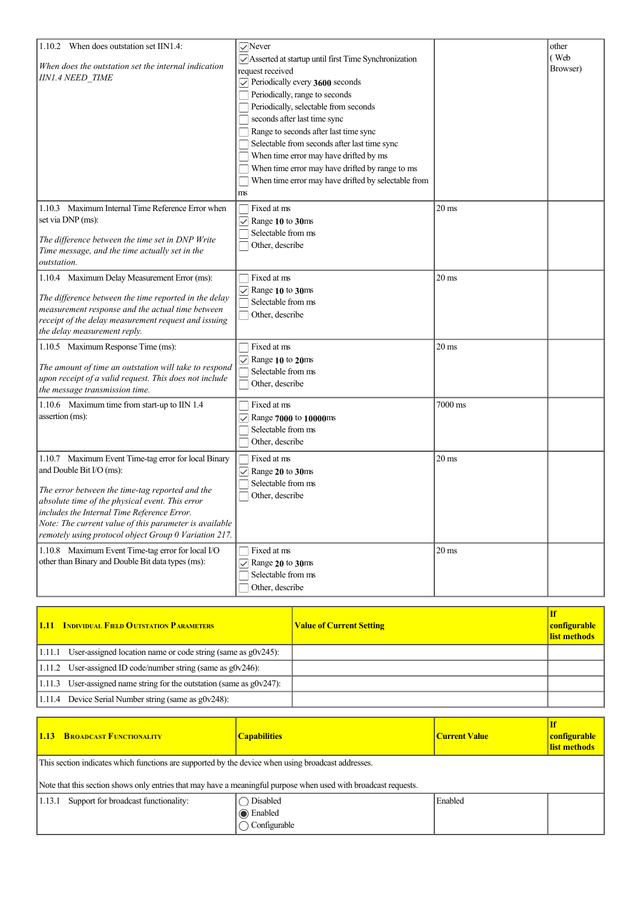| 1.10.2 When does outstation set IIN1.4:                                                                                                                                                                                                                                                                                                                  | $\sqrt{N}$ ever                                                                                                                                                                                                                                                                                                                                                                                                                                                                       |                 | other            |
|----------------------------------------------------------------------------------------------------------------------------------------------------------------------------------------------------------------------------------------------------------------------------------------------------------------------------------------------------------|---------------------------------------------------------------------------------------------------------------------------------------------------------------------------------------------------------------------------------------------------------------------------------------------------------------------------------------------------------------------------------------------------------------------------------------------------------------------------------------|-----------------|------------------|
| When does the outstation set the internal indication<br><b>IIN1.4 NEED TIME</b>                                                                                                                                                                                                                                                                          | Asserted at startup until first Time Synchronization<br>request received<br>$\sqrt{\ }$ Periodically every 3600 seconds<br>Periodically, range to seconds<br>Periodically, selectable from seconds<br>seconds after last time sync<br>Range to seconds after last time sync<br>Selectable from seconds after last time sync<br>When time error may have drifted by ms<br>When time error may have drifted by range to ms<br>When time error may have drifted by selectable from<br>ms |                 | (Web<br>Browser) |
| 1.10.3 Maximum Internal Time Reference Error when<br>set via DNP (ms):<br>The difference between the time set in DNP Write<br>Time message, and the time actually set in the<br>outstation.                                                                                                                                                              | Fixed at ms<br>$\vee$ Range 10 to 30ms<br>Selectable from ms<br>Other, describe                                                                                                                                                                                                                                                                                                                                                                                                       | $20 \text{ ms}$ |                  |
| 1.10.4 Maximum Delay Measurement Error (ms):<br>The difference between the time reported in the delay<br>measurement response and the actual time between<br>receipt of the delay measurement request and issuing<br>the delay measurement reply.                                                                                                        | Fixed at ms<br>$\vee$ Range 10 to 30ms<br>Selectable from ms<br>Other, describe                                                                                                                                                                                                                                                                                                                                                                                                       | $20\:\rm{ms}$   |                  |
| 1.10.5 Maximum Response Time (ms):<br>The amount of time an outstation will take to respond<br>upon receipt of a valid request. This does not include<br>the message transmission time.                                                                                                                                                                  | Fixed at ms<br>$\sqrt{\phantom{a}}$ Range 10 to 20ms<br>Selectable from ms<br>Other, describe                                                                                                                                                                                                                                                                                                                                                                                         | $20 \text{ ms}$ |                  |
| 1.10.6 Maximum time from start-up to IIN 1.4<br>assertion (ms):                                                                                                                                                                                                                                                                                          | Fixed at ms<br>$\sqrt{\phantom{a}}$ Range 7000 to 10000ms<br>Selectable from ms<br>$\Box$ Other, describe                                                                                                                                                                                                                                                                                                                                                                             | 7000 ms         |                  |
| 1.10.7 Maximum Event Time-tag error for local Binary<br>and Double Bit I/O (ms):<br>The error between the time-tag reported and the<br>absolute time of the physical event. This error<br>includes the Internal Time Reference Error.<br>Note: The current value of this parameter is available<br>remotely using protocol object Group 0 Variation 217. | Fixed at ms<br>$\sqrt{ }$ Range 20 to 30ms<br>Selectable from ms<br>Other, describe                                                                                                                                                                                                                                                                                                                                                                                                   | $20 \text{ ms}$ |                  |
| 1.10.8 Maximum Event Time-tag error for local I/O<br>other than Binary and Double Bit data types (ms):                                                                                                                                                                                                                                                   | Fixed at ms<br>$\vee$ Range 20 to 30ms<br>Selectable from ms<br>Other, describe                                                                                                                                                                                                                                                                                                                                                                                                       | $20 \text{ ms}$ |                  |

| <b>1.11 INDIVIDUAL FIELD OUTSTATION PARAMETERS</b>                         | <b>Value of Current Setting</b> | <b>configurable</b><br>list methods |
|----------------------------------------------------------------------------|---------------------------------|-------------------------------------|
| $1.11.1$ User-assigned location name or code string (same as $g0v245$ ):   |                                 |                                     |
| $1.11.2$ User-assigned ID code/number string (same as g0v246):             |                                 |                                     |
| $1.11.3$ User-assigned name string for the outstation (same as $g0v247$ ): |                                 |                                     |
| $ 1.11.4$ Device Serial Number string (same as $g0v248$ ):                 |                                 |                                     |

| <b>1.13 BROADCAST FUNCTIONALITY</b>                                                                                                                                                                                   | <b>Capabilities</b>     | <b>Current Value</b> | <b>If</b><br><b>configurable</b><br>list methods |  |
|-----------------------------------------------------------------------------------------------------------------------------------------------------------------------------------------------------------------------|-------------------------|----------------------|--------------------------------------------------|--|
| This section indicates which functions are supported by the device when using broadcast addresses.<br>Note that this section shows only entries that may have a meaningful purpose when used with broadcast requests. |                         |                      |                                                  |  |
|                                                                                                                                                                                                                       |                         |                      |                                                  |  |
| Support for broadcast functionality:<br> 1.13.1                                                                                                                                                                       | Disabled                | Enabled              |                                                  |  |
|                                                                                                                                                                                                                       | <b>■</b> Enabled        |                      |                                                  |  |
|                                                                                                                                                                                                                       | $\bigcirc$ Configurable |                      |                                                  |  |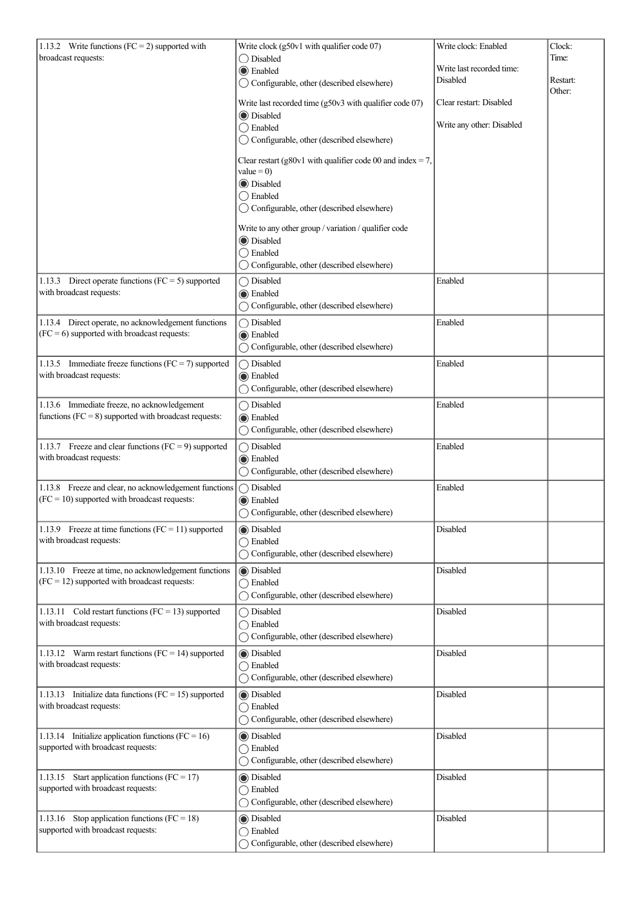| 1.13.2 Write functions ( $FC = 2$ ) supported with                                           | Write clock (g50v1 with qualifier code 07)                                  | Write clock: Enabled                  | Clock:   |
|----------------------------------------------------------------------------------------------|-----------------------------------------------------------------------------|---------------------------------------|----------|
| broadcast requests:                                                                          | ◯ Disabled                                                                  |                                       | Time:    |
|                                                                                              | <b>Enabled</b>                                                              | Write last recorded time:<br>Disabled | Restart: |
|                                                                                              | ◯ Configurable, other (described elsewhere)                                 |                                       | Other:   |
|                                                                                              | Write last recorded time (g50v3 with qualifier code 07)                     | Clear restart: Disabled               |          |
|                                                                                              | <b>O</b> Disabled                                                           | Write any other: Disabled             |          |
|                                                                                              | $\bigcirc$ Enabled<br>◯ Configurable, other (described elsewhere)           |                                       |          |
|                                                                                              |                                                                             |                                       |          |
|                                                                                              | Clear restart (g80v1 with qualifier code 00 and index = 7,<br>value = $0$ ) |                                       |          |
|                                                                                              | <b>D</b> isabled                                                            |                                       |          |
|                                                                                              | $\bigcirc$ Enabled                                                          |                                       |          |
|                                                                                              | ◯ Configurable, other (described elsewhere)                                 |                                       |          |
|                                                                                              | Write to any other group / variation / qualifier code                       |                                       |          |
|                                                                                              | <b>D</b> isabled                                                            |                                       |          |
|                                                                                              | $\bigcirc$ Enabled<br>◯ Configurable, other (described elsewhere)           |                                       |          |
|                                                                                              |                                                                             | Enabled                               |          |
| 1.13.3 Direct operate functions ( $FC = 5$ ) supported<br>with broadcast requests:           | ◯ Disabled<br><b>■</b> Enabled                                              |                                       |          |
|                                                                                              | ◯ Configurable, other (described elsewhere)                                 |                                       |          |
| 1.13.4 Direct operate, no acknowledgement functions                                          | ◯ Disabled                                                                  | Enabled                               |          |
| $(FC = 6)$ supported with broadcast requests:                                                | <b>■</b> Enabled                                                            |                                       |          |
|                                                                                              | ◯ Configurable, other (described elsewhere)                                 |                                       |          |
| 1.13.5 Immediate freeze functions ( $FC = 7$ ) supported                                     | ◯ Disabled                                                                  | Enabled                               |          |
| with broadcast requests:                                                                     | <b>◎</b> Enabled                                                            |                                       |          |
|                                                                                              | ◯ Configurable, other (described elsewhere)                                 |                                       |          |
| 1.13.6 Immediate freeze, no acknowledgement                                                  | ◯ Disabled                                                                  | Enabled                               |          |
| functions ( $FC = 8$ ) supported with broadcast requests:                                    | <b>I</b> Enabled                                                            |                                       |          |
|                                                                                              | ◯ Configurable, other (described elsewhere)                                 |                                       |          |
| 1.13.7 Freeze and clear functions ( $FC = 9$ ) supported                                     | ◯ Disabled                                                                  | Enabled                               |          |
| with broadcast requests:                                                                     | <b>◎</b> Enabled                                                            |                                       |          |
|                                                                                              | ◯ Configurable, other (described elsewhere)                                 |                                       |          |
| 1.13.8 Freeze and clear, no acknowledgement functions                                        | ◯ Disabled                                                                  | Enabled                               |          |
| $(FC = 10)$ supported with broadcast requests:                                               | C Enabled<br>◯ Configurable, other (described elsewhere)                    |                                       |          |
|                                                                                              |                                                                             | Disabled                              |          |
| 1.13.9 Freeze at time functions ( $FC = 11$ ) supported<br>with broadcast requests:          | <b>Disabled</b><br>$\bigcirc$ Enabled                                       |                                       |          |
|                                                                                              | ◯ Configurable, other (described elsewhere)                                 |                                       |          |
| 1.13.10 Freeze at time, no acknowledgement functions                                         | O Disabled                                                                  | Disabled                              |          |
| $(FC = 12)$ supported with broadcast requests:                                               | ◯ Enabled                                                                   |                                       |          |
|                                                                                              | ◯ Configurable, other (described elsewhere)                                 |                                       |          |
| 1.13.11 Cold restart functions ( $FC = 13$ ) supported                                       | ◯ Disabled                                                                  | Disabled                              |          |
| with broadcast requests:                                                                     | ◯ Enabled                                                                   |                                       |          |
|                                                                                              | ◯ Configurable, other (described elsewhere)                                 |                                       |          |
| 1.13.12 Warm restart functions ( $FC = 14$ ) supported                                       | <b>Disabled</b>                                                             | Disabled                              |          |
| with broadcast requests:                                                                     | ◯ Enabled                                                                   |                                       |          |
|                                                                                              | ◯ Configurable, other (described elsewhere)                                 |                                       |          |
| 1.13.13 Initialize data functions ( $FC = 15$ ) supported<br>with broadcast requests:        | <b>Disabled</b>                                                             | Disabled                              |          |
|                                                                                              | ◯ Enabled<br>◯ Configurable, other (described elsewhere)                    |                                       |          |
|                                                                                              | <b>Disabled</b>                                                             |                                       |          |
| 1.13.14 Initialize application functions ( $FC = 16$ )<br>supported with broadcast requests: | ◯ Enabled                                                                   | Disabled                              |          |
|                                                                                              | ◯ Configurable, other (described elsewhere)                                 |                                       |          |
| 1.13.15 Start application functions (FC = 17)                                                | <b>Disabled</b>                                                             | Disabled                              |          |
| supported with broadcast requests:                                                           | $\bigcirc$ Enabled                                                          |                                       |          |
|                                                                                              | ◯ Configurable, other (described elsewhere)                                 |                                       |          |
| 1.13.16 Stop application functions ( $FC = 18$ )                                             | <b>Disabled</b>                                                             | Disabled                              |          |
| supported with broadcast requests:                                                           | ◯ Enabled                                                                   |                                       |          |
|                                                                                              | ◯ Configurable, other (described elsewhere)                                 |                                       |          |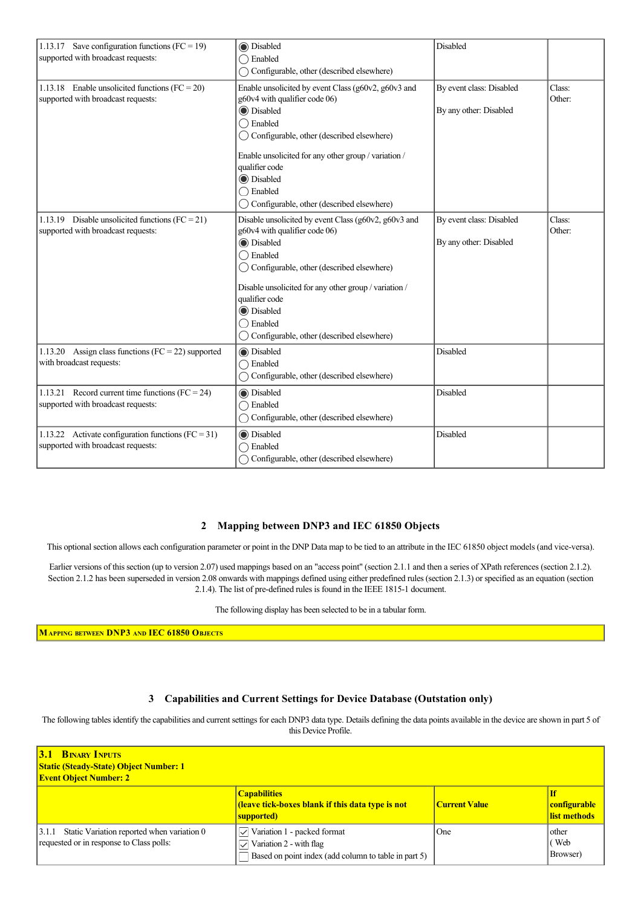| 1.13.17 Save configuration functions (FC = 19)<br>supported with broadcast requests:         | <b>I</b> Disabled<br>$\bigcap$ Enabled<br>◯ Configurable, other (described elsewhere)                                                                                                                                                                                                                                                                         | Disabled                                           |                  |
|----------------------------------------------------------------------------------------------|---------------------------------------------------------------------------------------------------------------------------------------------------------------------------------------------------------------------------------------------------------------------------------------------------------------------------------------------------------------|----------------------------------------------------|------------------|
| 1.13.18 Enable unsolicited functions ( $FC = 20$ )<br>supported with broadcast requests:     | Enable unsolicited by event Class (g60v2, g60v3 and<br>g60v4 with qualifier code 06)<br><b>O</b> Disabled<br>$\bigcirc$ Enabled<br>$\bigcirc$ Configurable, other (described elsewhere)<br>Enable unsolicited for any other group / variation /<br>qualifier code<br><b>O</b> Disabled<br>$\bigcirc$ Enabled<br>◯ Configurable, other (described elsewhere)   | By event class: Disabled<br>By any other: Disabled | Class:<br>Other: |
| 1.13.19 Disable unsolicited functions (FC = 21)<br>supported with broadcast requests:        | Disable unsolicited by event Class (g60v2, g60v3 and<br>g60v4 with qualifier code 06)<br><b>O</b> Disabled<br>$\bigcirc$ Enabled<br>◯ Configurable, other (described elsewhere)<br>Disable unsolicited for any other group / variation /<br>qualifier code<br><b>O</b> Disabled<br>$\bigcirc$ Enabled<br>$\bigcirc$ Configurable, other (described elsewhere) | By event class: Disabled<br>By any other: Disabled | Class:<br>Other: |
| 1.13.20 Assign class functions ( $FC = 22$ ) supported<br>with broadcast requests:           | <b>I</b> Disabled<br>$\bigcap$ Enabled<br>◯ Configurable, other (described elsewhere)                                                                                                                                                                                                                                                                         | Disabled                                           |                  |
| 1.13.21 Record current time functions (FC = 24)<br>supported with broadcast requests:        | <b>Disabled</b><br>$\bigcap$ Enabled<br>Configurable, other (described elsewhere)                                                                                                                                                                                                                                                                             | Disabled                                           |                  |
| 1.13.22 Activate configuration functions ( $FC = 31$ )<br>supported with broadcast requests: | <b>Disabled</b><br>$\bigcap$ Enabled<br>◯ Configurable, other (described elsewhere)                                                                                                                                                                                                                                                                           | Disabled                                           |                  |

### **2 Mapping between DNP3 and IEC 61850 Objects**

This optional section allows each configuration parameter or point in the DNP Data map to be tied to an attribute in the IEC 61850 object models (and viceversa).

Earlier versions of this section (up to version 2.07) used mappings based on an "access point" (section 2.1.1 and then a series of XPath references (section 2.1.2). Section 2.1.2 has been superseded in version 2.08 onwards with mappings defined using either predefined rules (section 2.1.3) or specified as an equation (section 2.1.4). The list of pre-defined rules is found in the IEEE 1815-1 document.

The following display has been selected to be in a tabular form.

**MAPPING BETWEEN DNP3 AND IEC 61850 OBJECTS**

### **3 Capabilities and Current Settings for Device Database (Outstation only)**

The following tables identify the capabilities and current settings for each DNP3 data type. Details defining the data points available in the device are shown in part 5 of this Device Profile.

| <b>3.1 BINARY INPUTS</b><br><b>Static (Steady-State) Object Number: 1</b><br><b>Event Object Number: 2</b> |                                                                                                                                                |                      |                                     |
|------------------------------------------------------------------------------------------------------------|------------------------------------------------------------------------------------------------------------------------------------------------|----------------------|-------------------------------------|
|                                                                                                            | <b>Capabilities</b><br><b>Contract (IDED)</b> ( <i>Ieave tick-boxes blank if this data type is not</i><br>supported)                           | <b>Current Value</b> | <b>configurable</b><br>list methods |
| 3.1.1 Static Variation reported when variation 0<br>requested or in response to Class polls:               | $\triangledown$ Variation 1 - packed format<br>$\triangledown$ Variation 2 - with flag<br>Based on point index (add column to table in part 5) | One                  | other<br>(Web<br>Browser)           |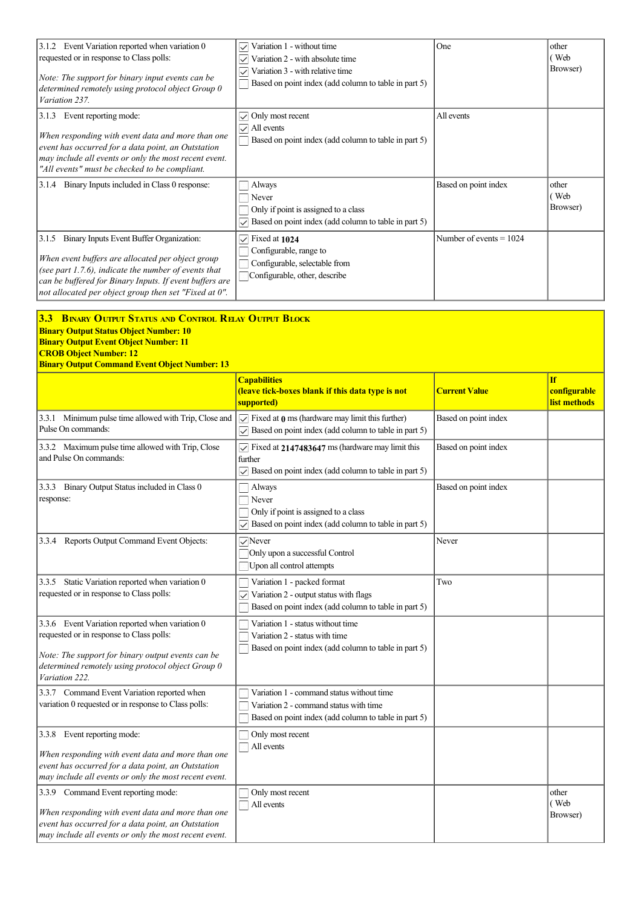| 3.1.2 Event Variation reported when variation 0<br>requested or in response to Class polls:<br>Note: The support for binary input events can be<br>determined remotely using protocol object Group 0<br>Variation 237.                                                          | Variation 1 - without time<br>$\checkmark$<br>Variation 2 - with absolute time<br>Variation 3 - with relative time<br>$\checkmark$<br>Based on point index (add column to table in part 5) | One                       | other<br>(Web<br>Browser)                 |
|---------------------------------------------------------------------------------------------------------------------------------------------------------------------------------------------------------------------------------------------------------------------------------|--------------------------------------------------------------------------------------------------------------------------------------------------------------------------------------------|---------------------------|-------------------------------------------|
| 3.1.3 Event reporting mode:<br>When responding with event data and more than one<br>event has occurred for a data point, an Outstation<br>may include all events or only the most recent event.<br>"All events" must be checked to be compliant.                                | $\sqrt{\phantom{a}}$ Only most recent<br>$\vee$ All events<br>Based on point index (add column to table in part 5)                                                                         | All events                |                                           |
| 3.1.4 Binary Inputs included in Class 0 response:                                                                                                                                                                                                                               | Always<br>Never<br>Only if point is assigned to a class<br>Based on point index (add column to table in part 5)<br>$\checkmark$                                                            | Based on point index      | other<br>(Web<br>Browser)                 |
| 3.1.5 Binary Inputs Event Buffer Organization:<br>When event buffers are allocated per object group<br>(see part 1.7.6), indicate the number of events that<br>can be buffered for Binary Inputs. If event buffers are<br>not allocated per object group then set "Fixed at 0". | $\sqrt{\phantom{a}}$ Fixed at 1024<br>Configurable, range to<br>Configurable, selectable from<br>Configurable, other, describe                                                             | Number of events $= 1024$ |                                           |
| 3.3 BINARY OUTPUT STATUS AND CONTROL RELAY OUTPUT BLOCK<br><b>Binary Output Status Object Number: 10</b><br><b>Binary Output Event Object Number: 11</b><br><b>CROB Object Number: 12</b><br><b>Binary Output Command Event Object Number: 13</b>                               |                                                                                                                                                                                            |                           |                                           |
|                                                                                                                                                                                                                                                                                 | <b>Capabilities</b><br>(leave tick-boxes blank if this data type is not<br>supported)                                                                                                      | <b>Current Value</b>      | <b>If</b><br>configurable<br>list methods |
| 3.3.1 Minimum pulse time allowed with Trip, Close and<br>Pulse On commands:                                                                                                                                                                                                     | $\sqrt{\phantom{a}}$ Fixed at 0 ms (hardware may limit this further)<br>$\sqrt{\phantom{a}}$ Based on point index (add column to table in part 5)                                          | Based on point index      |                                           |
| 3.3.2 Maximum pulse time allowed with Trip, Close<br>and Pulse On commands:                                                                                                                                                                                                     | $\triangledown$ Fixed at 2147483647 ms (hardware may limit this<br>further<br>Based on point index (add column to table in part 5)<br>$\checkmark$                                         | Based on point index      |                                           |
|                                                                                                                                                                                                                                                                                 |                                                                                                                                                                                            |                           |                                           |
| 3.3.3 Binary Output Status included in Class 0<br>response:                                                                                                                                                                                                                     | Always<br>Never<br>Only if point is assigned to a class<br>Based on point index (add column to table in part 5)                                                                            | Based on point index      |                                           |
| 3.3.4 Reports Output Command Event Objects:                                                                                                                                                                                                                                     | $\sqrt{$ Never<br>Only upon a successful Control<br>Upon all control attempts                                                                                                              | Never                     |                                           |
| 3.3.5 Static Variation reported when variation 0<br>requested or in response to Class polls:                                                                                                                                                                                    | Variation 1 - packed format<br>Variation 2 - output status with flags<br>Based on point index (add column to table in part 5)                                                              | Two                       |                                           |
| 3.3.6 Event Variation reported when variation 0<br>requested or in response to Class polls:<br>Note: The support for binary output events can be<br>determined remotely using protocol object Group 0<br>Variation 222.                                                         | Variation 1 - status without time<br>Variation 2 - status with time<br>Based on point index (add column to table in part 5)                                                                |                           |                                           |
| 3.3.7 Command Event Variation reported when<br>variation 0 requested or in response to Class polls:                                                                                                                                                                             | Variation 1 - command status without time<br>Variation 2 - command status with time<br>Based on point index (add column to table in part 5)                                                |                           |                                           |
| 3.3.8 Event reporting mode:<br>When responding with event data and more than one<br>event has occurred for a data point, an Outstation<br>may include all events or only the most recent event.                                                                                 | Only most recent<br>All events                                                                                                                                                             |                           |                                           |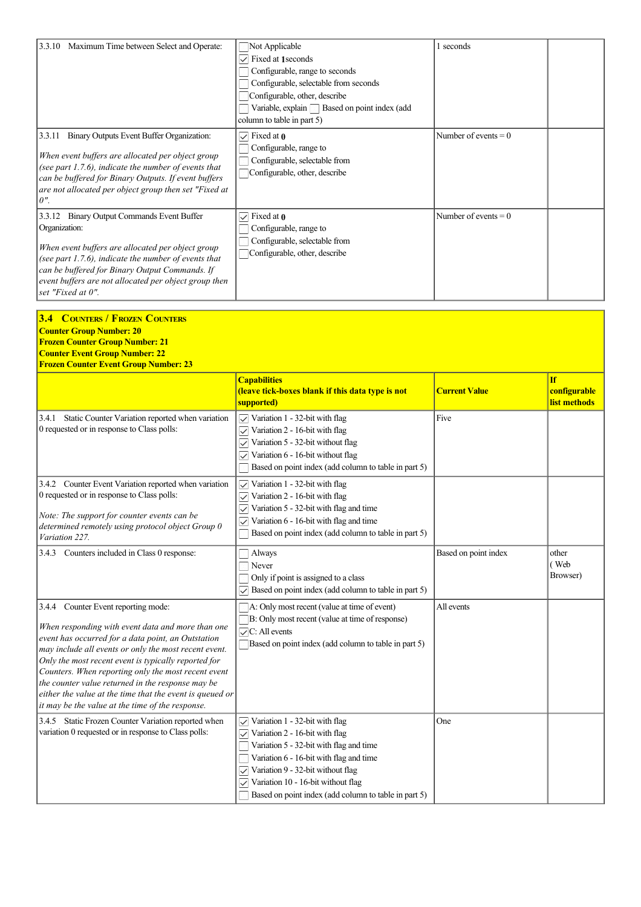| 3.3.10 Maximum Time between Select and Operate:                                                                                                                                                                                                                                                             | Not Applicable<br>$\triangledown$ Fixed at 1 seconds<br>Configurable, range to seconds<br>Configurable, selectable from seconds<br>Configurable, other, describe<br>Variable, explain Based on point index (add<br>column to table in part 5) | 1 seconds              |
|-------------------------------------------------------------------------------------------------------------------------------------------------------------------------------------------------------------------------------------------------------------------------------------------------------------|-----------------------------------------------------------------------------------------------------------------------------------------------------------------------------------------------------------------------------------------------|------------------------|
| 3.3.11<br>Binary Outputs Event Buffer Organization:<br>When event buffers are allocated per object group<br>(see part 1.7.6), indicate the number of events that<br>can be buffered for Binary Outputs. If event buffers<br>are not allocated per object group then set "Fixed at<br>$\lfloor$ 0".          | $\sqrt{\phantom{a}}$ Fixed at 0<br>Configurable, range to<br>Configurable, selectable from<br>Configurable, other, describe                                                                                                                   | Number of events $= 0$ |
| 3.3.12 Binary Output Commands Event Buffer<br>Organization:<br>When event buffers are allocated per object group<br>(see part 1.7.6), indicate the number of events that<br>can be buffered for Binary Output Commands. If<br>event buffers are not allocated per object group then<br>set "Fixed at $0$ ". | $\vee$ Fixed at 0<br>Configurable, range to<br>Configurable, selectable from<br>Configurable, other, describe                                                                                                                                 | Number of events $= 0$ |

| <b>3.4 COUNTERS / FROZEN COUNTERS</b><br><b>Counter Group Number: 20</b><br><b>Frozen Counter Group Number: 21</b><br><b>Counter Event Group Number: 22</b><br><b>Frozen Counter Event Group Number: 23</b>                                                                                                                                                                                                                                                                                 |                                                                                                                                                                                                                                                                                                                                       |                      |                                           |
|---------------------------------------------------------------------------------------------------------------------------------------------------------------------------------------------------------------------------------------------------------------------------------------------------------------------------------------------------------------------------------------------------------------------------------------------------------------------------------------------|---------------------------------------------------------------------------------------------------------------------------------------------------------------------------------------------------------------------------------------------------------------------------------------------------------------------------------------|----------------------|-------------------------------------------|
|                                                                                                                                                                                                                                                                                                                                                                                                                                                                                             | <b>Capabilities</b><br>(leave tick-boxes blank if this data type is not<br>supported)                                                                                                                                                                                                                                                 | <b>Current Value</b> | <b>If</b><br>configurable<br>list methods |
| 3.4.1 Static Counter Variation reported when variation<br>0 requested or in response to Class polls:                                                                                                                                                                                                                                                                                                                                                                                        | $\sqrt{\ }$ Variation 1 - 32-bit with flag<br>Variation 2 - 16-bit with flag<br>$\checkmark$<br>$\vee$ Variation 5 - 32-bit without flag<br>Variation 6 - 16-bit without flag<br>$\checkmark$<br>Based on point index (add column to table in part 5)                                                                                 | Five                 |                                           |
| 3.4.2 Counter Event Variation reported when variation<br>0 requested or in response to Class polls:<br>Note: The support for counter events can be<br>determined remotely using protocol object Group 0<br>Variation 227.                                                                                                                                                                                                                                                                   | $\sqrt{\ }$ Variation 1 - 32-bit with flag<br>Variation 2 - 16-bit with flag<br>$\checkmark$<br>Variation 5 - 32-bit with flag and time<br>$\checkmark$<br>Variation 6 - 16-bit with flag and time<br>$\checkmark$<br>Based on point index (add column to table in part 5)                                                            |                      |                                           |
| 3.4.3 Counters included in Class 0 response:                                                                                                                                                                                                                                                                                                                                                                                                                                                | Always<br>Never<br>Only if point is assigned to a class<br>Based on point index (add column to table in part 5)<br>$\checkmark$                                                                                                                                                                                                       | Based on point index | other<br>(Web<br>Browser)                 |
| 3.4.4 Counter Event reporting mode:<br>When responding with event data and more than one<br>event has occurred for a data point, an Outstation<br>may include all events or only the most recent event.<br>Only the most recent event is typically reported for<br>Counters. When reporting only the most recent event<br>the counter value returned in the response may be<br>either the value at the time that the event is queued or<br>it may be the value at the time of the response. | A: Only most recent (value at time of event)<br>B: Only most recent (value at time of response)<br>$\sqrt{\text{C}}$ : All events<br>Based on point index (add column to table in part 5)                                                                                                                                             | All events           |                                           |
| 3.4.5 Static Frozen Counter Variation reported when<br>variation 0 requested or in response to Class polls:                                                                                                                                                                                                                                                                                                                                                                                 | Variation 1 - 32-bit with flag<br>$\checkmark$<br>$\sqrt{\ }$ Variation 2 - 16-bit with flag<br>Variation 5 - 32-bit with flag and time<br>Variation 6 - 16-bit with flag and time<br>Variation 9 - 32-bit without flag<br>$\checkmark$<br>Variation 10 - 16-bit without flag<br>Based on point index (add column to table in part 5) | One                  |                                           |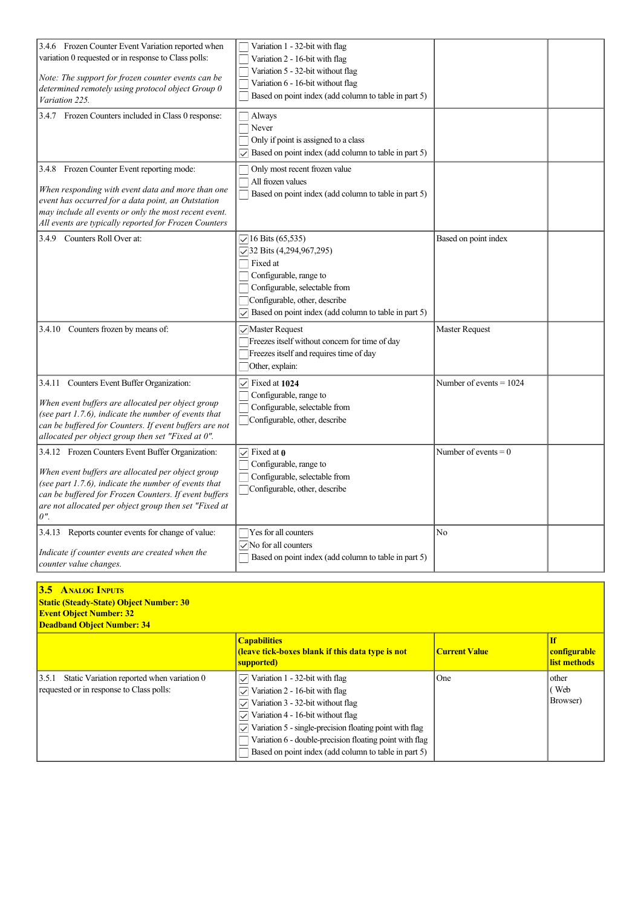| 3.4.6 Frozen Counter Event Variation reported when<br>variation 0 requested or in response to Class polls:<br>Note: The support for frozen counter events can be<br>determined remotely using protocol object Group 0<br>Variation 225.                                                    | Variation 1 - 32-bit with flag<br>Variation 2 - 16-bit with flag<br>Variation 5 - 32-bit without flag<br>Variation 6 - 16-bit without flag<br>Based on point index (add column to table in part 5)                                                   |                           |  |
|--------------------------------------------------------------------------------------------------------------------------------------------------------------------------------------------------------------------------------------------------------------------------------------------|------------------------------------------------------------------------------------------------------------------------------------------------------------------------------------------------------------------------------------------------------|---------------------------|--|
| 3.4.7 Frozen Counters included in Class 0 response:                                                                                                                                                                                                                                        | $\Box$ Always<br>$\Box$ Never<br>Only if point is assigned to a class<br>$\sqrt{\phantom{a}}$ Based on point index (add column to table in part 5)                                                                                                   |                           |  |
| 3.4.8 Frozen Counter Event reporting mode:<br>When responding with event data and more than one<br>event has occurred for a data point, an Outstation<br>may include all events or only the most recent event.<br>All events are typically reported for Frozen Counters                    | Only most recent frozen value<br>All frozen values<br>Based on point index (add column to table in part 5)                                                                                                                                           |                           |  |
| 3.4.9 Counters Roll Over at:                                                                                                                                                                                                                                                               | $\sqrt{16}$ Bits (65,535)<br>$\sqrt{32}$ Bits (4,294,967,295)<br>$\Box$ Fixed at<br>Configurable, range to<br>Configurable, selectable from<br>Configurable, other, describe<br>Based on point index (add column to table in part 5)<br>$\checkmark$ | Based on point index      |  |
| 3.4.10 Counters frozen by means of:                                                                                                                                                                                                                                                        | Master Request<br>Freezes itself without concern for time of day<br>Freezes itself and requires time of day<br>Other, explain:                                                                                                                       | <b>Master Request</b>     |  |
| 3.4.11 Counters Event Buffer Organization:<br>When event buffers are allocated per object group<br>(see part $1.7.6$ ), indicate the number of events that<br>can be buffered for Counters. If event buffers are not<br>allocated per object group then set "Fixed at 0".                  | $\triangledown$ Fixed at 1024<br>Configurable, range to<br>Configurable, selectable from<br>Configurable, other, describe                                                                                                                            | Number of events $= 1024$ |  |
| 3.4.12 Frozen Counters Event Buffer Organization:<br>When event buffers are allocated per object group<br>(see part 1.7.6), indicate the number of events that<br>can be buffered for Frozen Counters. If event buffers<br>are not allocated per object group then set "Fixed at<br>$0$ ". | $\sqrt{\phantom{a}}$ Fixed at 0<br>Configurable, range to<br>Configurable, selectable from<br>Configurable, other, describe                                                                                                                          | Number of events $= 0$    |  |
| 3.4.13 Reports counter events for change of value:<br>Indicate if counter events are created when the<br>counter value changes.                                                                                                                                                            | Yes for all counters<br>$\sqrt{}$ No for all counters<br>Based on point index (add column to table in part 5)                                                                                                                                        | No                        |  |

# **3.5 ANALOG INPUTS**

| <b>Static (Steady-State) Object Number: 30</b> |  |
|------------------------------------------------|--|
| <b>Event Object Number: 32</b>                 |  |

**Deadband Object Number: 34**

|                                                                                               | <b>Capabilities</b><br><b>(leave tick-boxes blank if this data type is not</b><br>supported)                                                                                                                                                                                                                                       | <b>Current Value</b> | <b>If</b><br>configurable<br>list methods |
|-----------------------------------------------------------------------------------------------|------------------------------------------------------------------------------------------------------------------------------------------------------------------------------------------------------------------------------------------------------------------------------------------------------------------------------------|----------------------|-------------------------------------------|
| [3.5.1 Static Variation reported when variation 0<br>requested or in response to Class polls: | Variation 1 - 32-bit with flag<br>$\vee$<br>Variation 2 - 16-bit with flag<br>Variation 3 - 32-bit without flag<br>Variation 4 - 16-bit without flag<br>Variation 5 - single-precision floating point with flag<br>Variation 6 - double-precision floating point with flag<br>Based on point index (add column to table in part 5) | <b>One</b>           | l other<br>(Web<br>(Browser)              |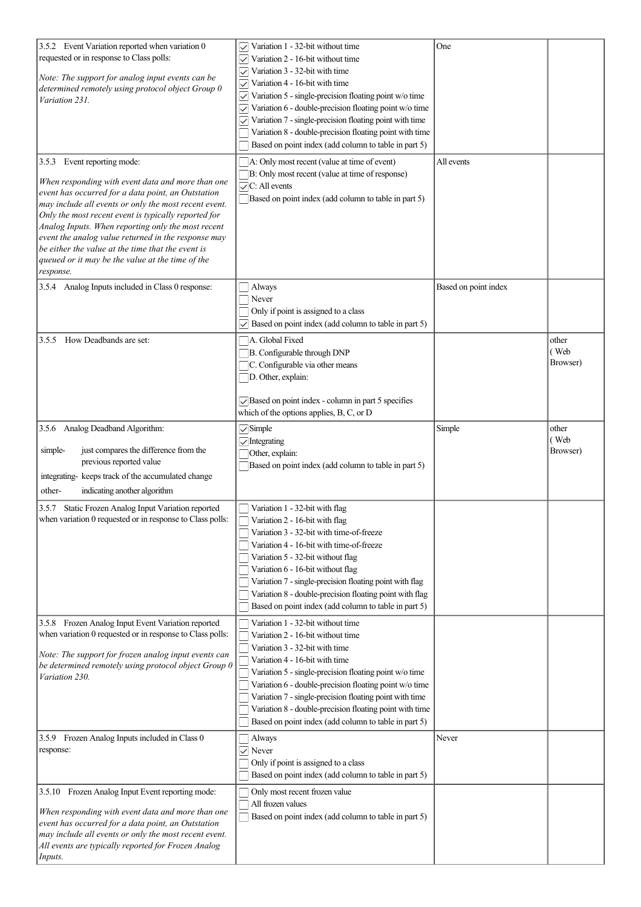| 3.5.2 Event Variation reported when variation 0<br>requested or in response to Class polls:<br>Note: The support for analog input events can be<br>determined remotely using protocol object Group 0<br>Variation 231.<br>3.5.3 Event reporting mode:<br>When responding with event data and more than one<br>event has occurred for a data point, an Outstation<br>may include all events or only the most recent event.<br>Only the most recent event is typically reported for<br>Analog Inputs. When reporting only the most recent<br>event the analog value returned in the response may<br>be either the value at the time that the event is<br>queued or it may be the value at the time of the<br>response. | Variation 1 - 32-bit without time<br>Variation 2 - 16-bit without time<br>Variation 3 - 32-bit with time<br>Variation 4 - 16-bit with time<br>Variation 5 - single-precision floating point w/o time<br>Variation 6 - double-precision floating point w/o time<br>$\checkmark$<br>Variation 7 - single-precision floating point with time<br>$\checkmark$<br>Variation 8 - double-precision floating point with time<br>Based on point index (add column to table in part 5)<br>A: Only most recent (value at time of event)<br>B: Only most recent (value at time of response)<br>$\sqrt{\text{C}}$ : All events<br>Based on point index (add column to table in part 5) | One<br>All events    |                           |
|----------------------------------------------------------------------------------------------------------------------------------------------------------------------------------------------------------------------------------------------------------------------------------------------------------------------------------------------------------------------------------------------------------------------------------------------------------------------------------------------------------------------------------------------------------------------------------------------------------------------------------------------------------------------------------------------------------------------|---------------------------------------------------------------------------------------------------------------------------------------------------------------------------------------------------------------------------------------------------------------------------------------------------------------------------------------------------------------------------------------------------------------------------------------------------------------------------------------------------------------------------------------------------------------------------------------------------------------------------------------------------------------------------|----------------------|---------------------------|
| 3.5.4 Analog Inputs included in Class 0 response:                                                                                                                                                                                                                                                                                                                                                                                                                                                                                                                                                                                                                                                                    | Always<br>Never<br>Only if point is assigned to a class<br>$\triangledown$ Based on point index (add column to table in part 5)                                                                                                                                                                                                                                                                                                                                                                                                                                                                                                                                           | Based on point index |                           |
| How Deadbands are set:<br>3.5.5                                                                                                                                                                                                                                                                                                                                                                                                                                                                                                                                                                                                                                                                                      | √A. Global Fixed<br>B. Configurable through DNP<br>C. Configurable via other means<br>D. Other, explain:<br>Based on point index - column in part 5 specifies<br>which of the options applies, B, C, or D                                                                                                                                                                                                                                                                                                                                                                                                                                                                 |                      | other<br>(Web<br>Browser) |
| 3.5.6 Analog Deadband Algorithm:<br>just compares the difference from the<br>simple-<br>previous reported value<br>integrating- keeps track of the accumulated change<br>other-<br>indicating another algorithm                                                                                                                                                                                                                                                                                                                                                                                                                                                                                                      | $\sqrt{\text{Simple}}$<br>$\sqrt{}$ Integrating<br>Other, explain:<br>Based on point index (add column to table in part 5)                                                                                                                                                                                                                                                                                                                                                                                                                                                                                                                                                | Simple               | other<br>(Web<br>Browser) |
| 3.5.7 Static Frozen Analog Input Variation reported<br>when variation 0 requested or in response to Class polls:                                                                                                                                                                                                                                                                                                                                                                                                                                                                                                                                                                                                     | Variation 1 - 32-bit with flag<br>$\Box$ Variation 2 - 16-bit with flag<br>Variation 3 - 32-bit with time-of-freeze<br>Variation 4 - 16-bit with time-of-freeze<br>Variation 5 - 32-bit without flag<br>Variation 6 - 16-bit without flag<br>Variation 7 - single-precision floating point with flag<br>Variation 8 - double-precision floating point with flag<br>Based on point index (add column to table in part 5)                                                                                                                                                                                                                                                   |                      |                           |
| 3.5.8 Frozen Analog Input Event Variation reported<br>when variation 0 requested or in response to Class polls:<br>Note: The support for frozen analog input events can<br>be determined remotely using protocol object Group 0<br>Variation 230.                                                                                                                                                                                                                                                                                                                                                                                                                                                                    | Variation 1 - 32-bit without time<br>Variation 2 - 16-bit without time<br>Variation 3 - 32-bit with time<br>Variation 4 - 16-bit with time<br>Variation 5 - single-precision floating point w/o time<br>Variation 6 - double-precision floating point w/o time<br>Variation 7 - single-precision floating point with time<br>Variation 8 - double-precision floating point with time<br>Based on point index (add column to table in part 5)                                                                                                                                                                                                                              |                      |                           |
| 3.5.9 Frozen Analog Inputs included in Class 0<br>response:                                                                                                                                                                                                                                                                                                                                                                                                                                                                                                                                                                                                                                                          | Always<br>$\vee$ Never<br>Only if point is assigned to a class<br>Based on point index (add column to table in part 5)                                                                                                                                                                                                                                                                                                                                                                                                                                                                                                                                                    | Never                |                           |
| 3.5.10 Frozen Analog Input Event reporting mode:<br>When responding with event data and more than one<br>event has occurred for a data point, an Outstation<br>may include all events or only the most recent event.<br>All events are typically reported for Frozen Analog<br>Inputs.                                                                                                                                                                                                                                                                                                                                                                                                                               | Only most recent frozen value<br>All frozen values<br>Based on point index (add column to table in part 5)                                                                                                                                                                                                                                                                                                                                                                                                                                                                                                                                                                |                      |                           |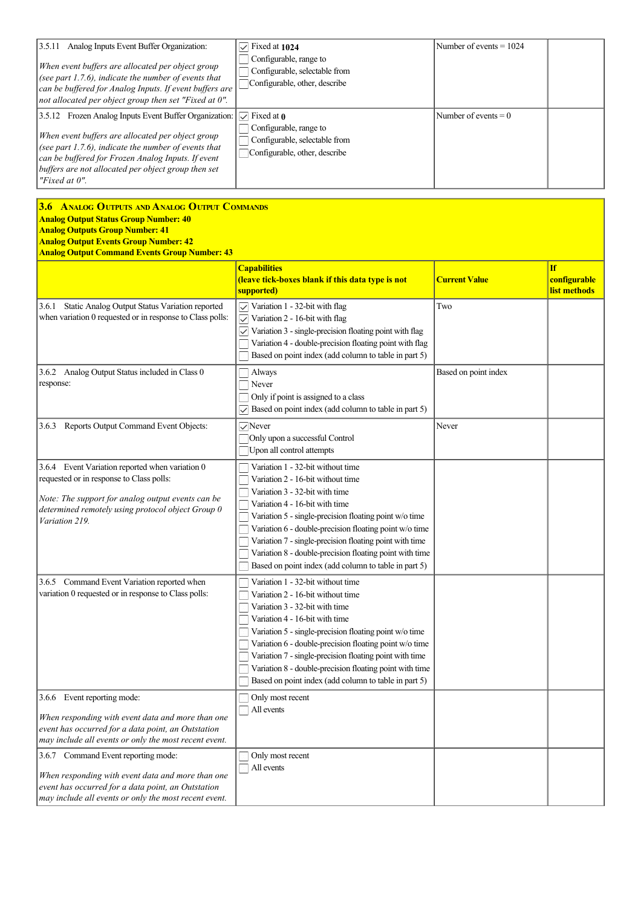| 13.5.11<br>Analog Inputs Event Buffer Organization:<br>When event buffers are allocated per object group<br>(see part 1.7.6), indicate the number of events that<br>can be buffered for Analog Inputs. If event buffers are<br>$ $ not allocated per object group then set "Fixed at 0".              | $\sqrt{\phantom{0}}$ Fixed at 1024<br>$\Box$ Configurable, range to<br>$\Box$ Configurable, selectable from<br>Configurable, other, describe | Number of events $= 1024$ |  |
|-------------------------------------------------------------------------------------------------------------------------------------------------------------------------------------------------------------------------------------------------------------------------------------------------------|----------------------------------------------------------------------------------------------------------------------------------------------|---------------------------|--|
| [3.5.12 Frozen Analog Inputs Event Buffer Organization:<br>When event buffers are allocated per object group<br>(see part 1.7.6), indicate the number of events that<br>can be buffered for Frozen Analog Inputs. If event<br>buffers are not allocated per object group then set<br>"Fixed at $0$ ". | $\triangledown$ Fixed at 0<br>$\Box$ Configurable, range to<br>$\Box$ Configurable, selectable from<br>Configurable, other, describe         | Number of events $= 0$    |  |

| <b>3.6 ANALOG OUTPUTS AND ANALOG OUTPUT COMMANDS</b><br><b>Analog Output Status Group Number: 40</b><br><b>Analog Outputs Group Number: 41</b><br><b>Analog Output Events Group Number: 42</b><br><b>Analog Output Command Events Group Number: 43</b> |                                                                                                                                                                                                                                                                                                                                                                                                                                              |                      |                                                  |
|--------------------------------------------------------------------------------------------------------------------------------------------------------------------------------------------------------------------------------------------------------|----------------------------------------------------------------------------------------------------------------------------------------------------------------------------------------------------------------------------------------------------------------------------------------------------------------------------------------------------------------------------------------------------------------------------------------------|----------------------|--------------------------------------------------|
|                                                                                                                                                                                                                                                        | <b>Capabilities</b><br>(leave tick-boxes blank if this data type is not<br>supported)                                                                                                                                                                                                                                                                                                                                                        | <b>Current Value</b> | <b>If</b><br>configurable<br><u>list methods</u> |
| Static Analog Output Status Variation reported<br>3.6.1<br>when variation 0 requested or in response to Class polls:                                                                                                                                   | $\sqrt{\ }$ Variation 1 - 32-bit with flag<br>Variation 2 - 16-bit with flag<br>$\checkmark$<br>$\sqrt{\phantom{a}}$ Variation 3 - single-precision floating point with flag<br>Variation 4 - double-precision floating point with flag<br>Based on point index (add column to table in part 5)                                                                                                                                              | Two                  |                                                  |
| 3.6.2 Analog Output Status included in Class 0<br>response:                                                                                                                                                                                            | Always<br>Never<br>Only if point is assigned to a class<br>Based on point index (add column to table in part 5)                                                                                                                                                                                                                                                                                                                              | Based on point index |                                                  |
| 3.6.3 Reports Output Command Event Objects:                                                                                                                                                                                                            | $\sqrt{ }$ Never<br>Only upon a successful Control<br>Upon all control attempts                                                                                                                                                                                                                                                                                                                                                              | Never                |                                                  |
| 3.6.4 Event Variation reported when variation 0<br>requested or in response to Class polls:<br>Note: The support for analog output events can be<br>determined remotely using protocol object Group 0<br>Variation 219.                                | Variation 1 - 32-bit without time<br>Variation 2 - 16-bit without time<br>Variation 3 - 32-bit with time<br>Variation 4 - 16-bit with time<br>Variation 5 - single-precision floating point w/o time<br>Variation 6 - double-precision floating point w/o time<br>Variation 7 - single-precision floating point with time<br>Variation 8 - double-precision floating point with time<br>Based on point index (add column to table in part 5) |                      |                                                  |
| 3.6.5 Command Event Variation reported when<br>variation 0 requested or in response to Class polls:                                                                                                                                                    | Variation 1 - 32-bit without time<br>Variation 2 - 16-bit without time<br>Variation 3 - 32-bit with time<br>Variation 4 - 16-bit with time<br>Variation 5 - single-precision floating point w/o time<br>Variation 6 - double-precision floating point w/o time<br>Variation 7 - single-precision floating point with time<br>Variation 8 - double-precision floating point with time<br>Based on point index (add column to table in part 5) |                      |                                                  |
| 3.6.6 Event reporting mode:<br>When responding with event data and more than one<br>event has occurred for a data point, an Outstation<br>may include all events or only the most recent event.                                                        | Only most recent<br>All events                                                                                                                                                                                                                                                                                                                                                                                                               |                      |                                                  |
| 3.6.7 Command Event reporting mode:<br>When responding with event data and more than one<br>event has occurred for a data point, an Outstation                                                                                                         | Only most recent<br>All events                                                                                                                                                                                                                                                                                                                                                                                                               |                      |                                                  |

*may include all events or only the most recent event.*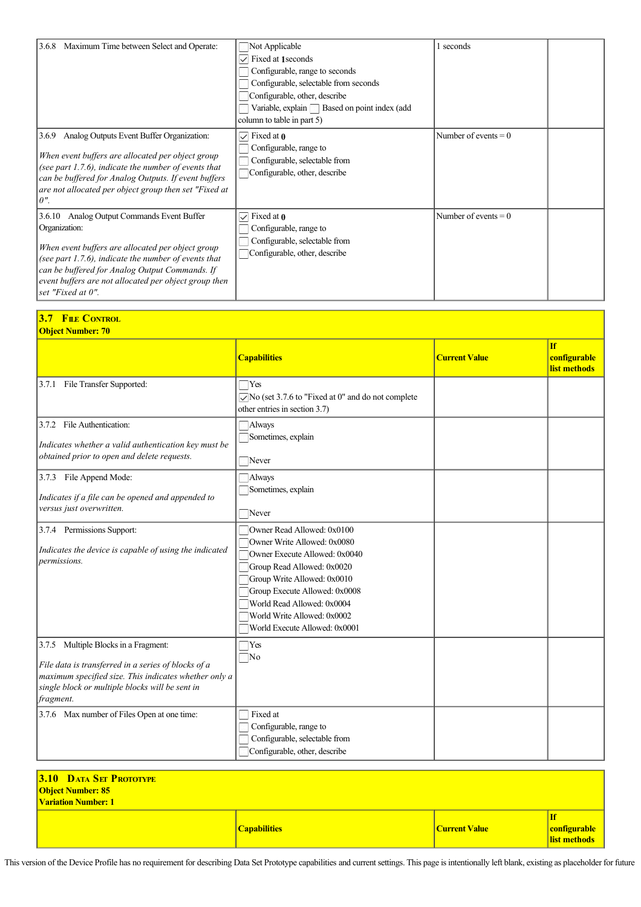| Maximum Time between Select and Operate:<br>3.6.8                                                                                                                                                                                                                                                           | $\Box$ Not Applicable<br>Fixed at 1 seconds<br>Configurable, range to seconds<br>Configurable, selectable from seconds<br>Configurable, other, describe<br>Variable, explain Based on point index (add<br>column to table in part 5) | 1 seconds              |  |
|-------------------------------------------------------------------------------------------------------------------------------------------------------------------------------------------------------------------------------------------------------------------------------------------------------------|--------------------------------------------------------------------------------------------------------------------------------------------------------------------------------------------------------------------------------------|------------------------|--|
| Analog Outputs Event Buffer Organization:<br>3.6.9<br>When event buffers are allocated per object group<br>(see part $1.7.6$ ), indicate the number of events that<br>can be buffered for Analog Outputs. If event buffers<br>are not allocated per object group then set "Fixed at<br>$\theta$ ".          | Fixed at 0<br>$\checkmark$<br>Configurable, range to<br>Configurable, selectable from<br>Configurable, other, describe                                                                                                               | Number of events $= 0$ |  |
| 3.6.10 Analog Output Commands Event Buffer<br>Organization:<br>When event buffers are allocated per object group<br>(see part $1.7.6$ ), indicate the number of events that<br>can be buffered for Analog Output Commands. If<br>event buffers are not allocated per object group then<br>set "Fixed at 0". | Fixed at $\theta$<br>$\checkmark$<br>Configurable, range to<br>Configurable, selectable from<br>Configurable, other, describe                                                                                                        | Number of events $= 0$ |  |

| <b>FILE CONTROL</b><br>3.7<br><b>Object Number: 70</b>                                                                                                                                                               |                                                                                                                                                                                                                                                                                        |                      |                                           |  |  |  |  |  |
|----------------------------------------------------------------------------------------------------------------------------------------------------------------------------------------------------------------------|----------------------------------------------------------------------------------------------------------------------------------------------------------------------------------------------------------------------------------------------------------------------------------------|----------------------|-------------------------------------------|--|--|--|--|--|
|                                                                                                                                                                                                                      | <b>Capabilities</b>                                                                                                                                                                                                                                                                    | <b>Current Value</b> | <b>If</b><br>configurable<br>list methods |  |  |  |  |  |
| 3.7.1 File Transfer Supported:                                                                                                                                                                                       | $\Box$ Yes<br>$\sqrt{\phantom{a}}$ No (set 3.7.6 to "Fixed at 0" and do not complete<br>other entries in section 3.7)                                                                                                                                                                  |                      |                                           |  |  |  |  |  |
| 3.7.2 File Authentication:<br>Indicates whether a valid authentication key must be<br>obtained prior to open and delete requests.                                                                                    | Always<br>Sometimes, explain<br>Never                                                                                                                                                                                                                                                  |                      |                                           |  |  |  |  |  |
| 3.7.3 File Append Mode:<br>Indicates if a file can be opened and appended to<br>versus just overwritten.                                                                                                             | <b>Always</b><br>Sometimes, explain<br>Never                                                                                                                                                                                                                                           |                      |                                           |  |  |  |  |  |
| 3.7.4 Permissions Support:<br>Indicates the device is capable of using the indicated<br>permissions.                                                                                                                 | Owner Read Allowed: 0x0100<br>Owner Write Allowed: 0x0080<br>Owner Execute Allowed: 0x0040<br>Group Read Allowed: 0x0020<br>Group Write Allowed: 0x0010<br>Group Execute Allowed: 0x0008<br>World Read Allowed: 0x0004<br>World Write Allowed: 0x0002<br>World Execute Allowed: 0x0001 |                      |                                           |  |  |  |  |  |
| 3.7.5 Multiple Blocks in a Fragment:<br>File data is transferred in a series of blocks of a<br>maximum specified size. This indicates whether only a<br>single block or multiple blocks will be sent in<br>fragment. | $\Box$ Yes<br>$\square$ No                                                                                                                                                                                                                                                             |                      |                                           |  |  |  |  |  |
| 3.7.6 Max number of Files Open at one time:                                                                                                                                                                          | ⊤ Fixed at<br>Configurable, range to<br>Configurable, selectable from<br>Configurable, other, describe                                                                                                                                                                                 |                      |                                           |  |  |  |  |  |

| <b>3.10 DATA SET PROTOTYPE</b><br><b>Object Number: 85</b> |                     |                      |                               |
|------------------------------------------------------------|---------------------|----------------------|-------------------------------|
| <b>Variation Number: 1</b>                                 |                     |                      |                               |
|                                                            |                     |                      | $\mathbf{If}$                 |
|                                                            | <b>Capabilities</b> | <b>Current Value</b> | <mark>  configurable  </mark> |
|                                                            |                     |                      | list methods                  |

This version of the Device Profile has no requirement for describing Data Set Prototype capabilities and current settings. This page is intentionally left blank, existing as placeholder for future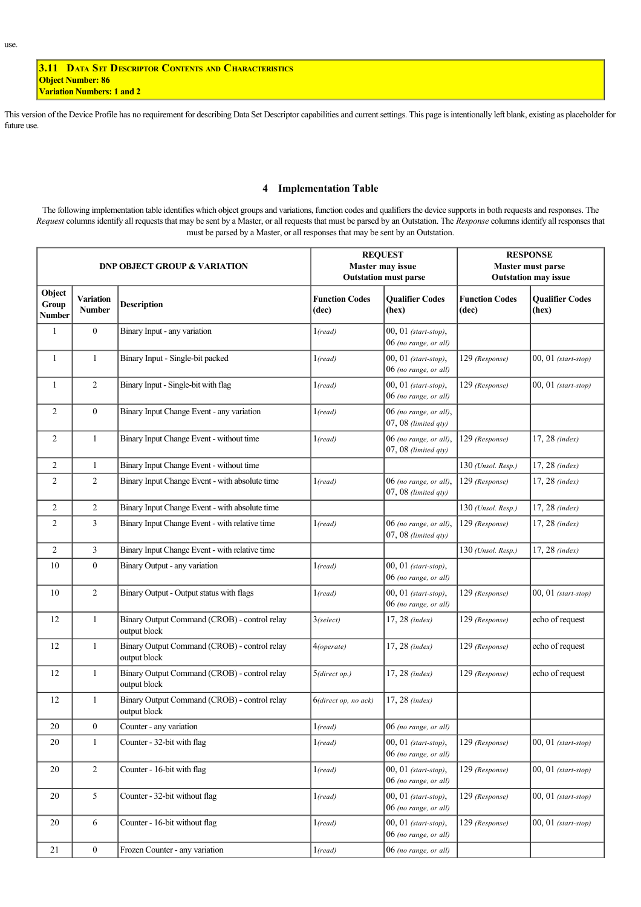**3.11 DATA SET DESCRIPTOR CONTENTS AND CHARACTERISTICS Object Number: 86 Variation Numbers: 1 and 2**

This version of the Device Profile has no requirement for describing Data Set Descriptor capabilities and current settings. This page is intentionally left blank, existing as placeholder for future use.

### **4 Implementation Table**

The following implementation table identifies which object groups and variations, function codes and qualifiers the device supports in both requests and responses. The *Request* columns identify all requests that may be sent by a Master, or all requests that must be parsed by an Outstation. The *Response* columns identify all responses that must be parsed by a Master, or all responses that may be sent by an Outstation.

|                                  |                            | <b>DNP OBJECT GROUP &amp; VARIATION</b>                      |                                | <b>REQUEST</b><br>Master may issue<br><b>Outstation must parse</b> | <b>RESPONSE</b><br>Master must parse<br><b>Outstation may issue</b> |                                 |  |
|----------------------------------|----------------------------|--------------------------------------------------------------|--------------------------------|--------------------------------------------------------------------|---------------------------------------------------------------------|---------------------------------|--|
| Object<br>Group<br><b>Number</b> | Variation<br><b>Number</b> | <b>Description</b>                                           | <b>Function Codes</b><br>(dec) | <b>Qualifier Codes</b><br>(hex)                                    | <b>Function Codes</b><br>(dec)                                      | <b>Qualifier Codes</b><br>(hex) |  |
| 1                                | $\boldsymbol{0}$           | Binary Input - any variation                                 | $1$ (read)                     | $00, 01$ (start-stop),<br>06 (no range, or all)                    |                                                                     |                                 |  |
| 1                                | 1                          | Binary Input - Single-bit packed                             | 1 (read)                       | $00, 01$ (start-stop),<br>06 (no range, or all)                    | 129 (Response)                                                      | $00, 01$ (start-stop)           |  |
| 1                                | $\overline{c}$             | Binary Input - Single-bit with flag                          | 1 (read)                       | $00, 01$ (start-stop),<br>06 (no range, or all)                    | 129 (Response)                                                      | $00, 01$ (start-stop)           |  |
| 2                                | $\boldsymbol{0}$           | Binary Input Change Event - any variation                    | 1 (read)                       | 06 (no range, or all),<br>$07,08$ (limited qty)                    |                                                                     |                                 |  |
| 2                                | $\mathbf{1}$               | Binary Input Change Event - without time                     | 1 (read)                       | 06 (no range, or all),<br>$07,08$ (limited qty)                    | 129 (Response)                                                      | 17, 28 (index)                  |  |
| 2                                | $\mathbf{1}$               | Binary Input Change Event - without time                     |                                |                                                                    | $130$ (Unsol. Resp.)                                                | $17, 28$ (index)                |  |
| $\overline{2}$                   | $\overline{c}$             | Binary Input Change Event - with absolute time               | $1$ (read)                     | 06 (no range, or all),<br>$07,08$ (limited qty)                    | 129 (Response)                                                      | $17, 28$ (index)                |  |
| 2                                | $\overline{c}$             | Binary Input Change Event - with absolute time               |                                |                                                                    | 130 (Unsol. Resp.)                                                  | $17, 28$ (index)                |  |
| $\overline{2}$                   | 3                          | Binary Input Change Event - with relative time               | 1 (read)                       | 06 (no range, or all),<br>$07,08$ (limited qty)                    | 129 (Response)                                                      | $17, 28$ (index)                |  |
| $\overline{2}$                   | 3                          | Binary Input Change Event - with relative time               |                                |                                                                    | 130 (Unsol. Resp.)                                                  | $17, 28$ (index)                |  |
| 10                               | $\boldsymbol{0}$           | Binary Output - any variation                                | 1 (read)                       | $00, 01$ (start-stop),<br>06 (no range, or all)                    |                                                                     |                                 |  |
| 10                               | $\overline{c}$             | Binary Output - Output status with flags                     | 1 (read)                       | $00, 01$ (start-stop),<br>06 (no range, or all)                    | 129 (Response)                                                      | $00, 01$ (start-stop)           |  |
| 12                               | $\mathbf{1}$               | Binary Output Command (CROB) - control relay<br>output block | $3$ (select)                   | 17, 28 (index)                                                     | 129 (Response)                                                      | echo of request                 |  |
| 12                               | $\mathbf{1}$               | Binary Output Command (CROB) - control relay<br>output block | 4(operate)                     | 17, 28 (index)                                                     | 129 (Response)                                                      | echo of request                 |  |
| 12                               | $\mathbf{1}$               | Binary Output Command (CROB) - control relay<br>output block | $5$ (direct op.)               | $17, 28$ (index)                                                   | 129 (Response)                                                      | echo of request                 |  |
| 12                               | 1                          | Binary Output Command (CROB) - control relay<br>output block | 6(direct op, no ack)           | $17, 28$ (index)                                                   |                                                                     |                                 |  |
| 20                               | 0                          | Counter - any variation                                      | 1 (read)                       | 06 (no range, or all)                                              |                                                                     |                                 |  |
| 20                               | $\mathbf{1}$               | Counter - 32-bit with flag                                   | 1 (read)                       | $00, 01$ (start-stop),<br>06 (no range, or all)                    | 129 (Response)                                                      | $00, 01$ (start-stop)           |  |
| 20                               | $\overline{c}$             | Counter - 16-bit with flag                                   | 1 (read)                       | $00, 01$ (start-stop),<br>06 (no range, or all)                    | 129 (Response)                                                      | $00, 01$ (start-stop)           |  |
| 20                               | 5                          | Counter - 32-bit without flag                                | 1 (read)                       | $00, 01$ (start-stop),<br>06 (no range, or all)                    | 129 (Response)                                                      | $00, 01$ (start-stop)           |  |
| 20                               | 6                          | Counter - 16-bit without flag                                | 1 (read)                       | $00, 01$ (start-stop),<br>06 (no range, or all)                    | 129 (Response)                                                      | $00, 01$ (start-stop)           |  |
| 21                               | $\boldsymbol{0}$           | Frozen Counter - any variation                               | 1 (read)                       | 06 (no range, or all)                                              |                                                                     |                                 |  |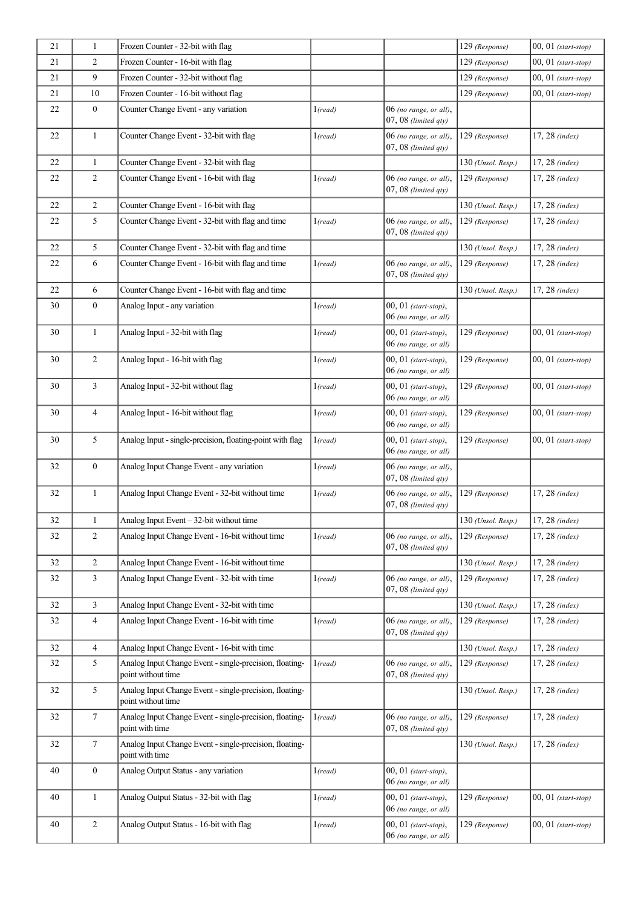| 21 | $\mathbf{1}$     | Frozen Counter - 32-bit with flag                                             |          |                                                    | 129 (Response)       | $00, 01$ (start-stop)     |
|----|------------------|-------------------------------------------------------------------------------|----------|----------------------------------------------------|----------------------|---------------------------|
| 21 | 2                | Frozen Counter - 16-bit with flag                                             |          |                                                    | 129 (Response)       | $00, 01$ (start-stop)     |
| 21 | 9                | Frozen Counter - 32-bit without flag                                          |          |                                                    | 129 (Response)       | $00, 01$ (start-stop)     |
| 21 | 10               | Frozen Counter - 16-bit without flag                                          |          |                                                    | 129 (Response)       | $00, 01$ (start-stop)     |
| 22 | $\boldsymbol{0}$ | Counter Change Event - any variation                                          | 1 (read) | 06 (no range, or all),<br>$07,08$ (limited qty)    |                      |                           |
| 22 | $\mathbf{1}$     | Counter Change Event - 32-bit with flag                                       | 1 (read) | 06 (no range, or all),<br>$07,08$ (limited $qty$ ) | 129 (Response)       | $17, 28$ (index)          |
| 22 | $\mathbf{1}$     | Counter Change Event - 32-bit with flag                                       |          |                                                    | 130 (Unsol. Resp.)   | 17, 28 (index)            |
| 22 | $\overline{c}$   | Counter Change Event - 16-bit with flag                                       | 1 (read) | 06 (no range, or all),<br>$07,08$ (limited qty)    | 129 (Response)       | $17, 28$ (index)          |
| 22 | $\overline{c}$   | Counter Change Event - 16-bit with flag                                       |          |                                                    | 130 (Unsol. Resp.)   | $17, 28$ (index)          |
| 22 | 5                | Counter Change Event - 32-bit with flag and time                              | 1 (read) | 06 (no range, or all),<br>07, 08 (limited qty)     | 129 (Response)       | $17, 28$ (index)          |
| 22 | 5                | Counter Change Event - 32-bit with flag and time                              |          |                                                    | 130 (Unsol. Resp.)   | $17, 28$ (index)          |
| 22 | 6                | Counter Change Event - 16-bit with flag and time                              | 1 (read) | 06 (no range, or all),<br>$07,08$ (limited qty)    | 129 (Response)       | $17, 28$ (index)          |
| 22 | 6                | Counter Change Event - 16-bit with flag and time                              |          |                                                    | 130 (Unsol. Resp.)   | $17, 28$ (index)          |
| 30 | $\boldsymbol{0}$ | Analog Input - any variation                                                  | 1 (read) | $00, 01$ (start-stop),<br>06 (no range, or all)    |                      |                           |
| 30 | $\mathbf{1}$     | Analog Input - 32-bit with flag                                               | 1 (read) | $00, 01$ (start-stop),<br>06 (no range, or all)    | 129 (Response)       | $00, 01$ (start-stop)     |
| 30 | $\overline{c}$   | Analog Input - 16-bit with flag                                               | 1 (read) | $00, 01$ (start-stop),<br>06 (no range, or all)    | 129 (Response)       | $00, 01$ (start-stop)     |
| 30 | 3                | Analog Input - 32-bit without flag                                            | 1 (read) | $00, 01$ (start-stop),<br>06 (no range, or all)    | 129 (Response)       | $00, 01$ (start-stop)     |
| 30 | 4                | Analog Input - 16-bit without flag                                            | 1 (read) | 00, 01 (start-stop),<br>06 (no range, or all)      | 129 (Response)       | $00, 01$ (start-stop)     |
| 30 | 5                | Analog Input - single-precision, floating-point with flag                     | 1 (read) | $00, 01$ (start-stop),<br>06 (no range, or all)    | 129 (Response)       | $00, 01$ (start-stop)     |
| 32 | $\boldsymbol{0}$ | Analog Input Change Event - any variation                                     | 1 (read) | 06 (no range, or all),<br>07, 08 (limited qty)     |                      |                           |
| 32 | $\mathbf{1}$     | Analog Input Change Event - 32-bit without time                               | 1 (read) | 06 (no range, or all),<br>$07,08$ (limited qty)    | 129 (Response)       | $17, 28$ (index)          |
| 32 | 1                | Analog Input Event - 32-bit without time                                      |          |                                                    | $130$ (Unsol. Resp.) | $ 17, 28 \text{ (index)}$ |
| 32 | $\overline{c}$   | Analog Input Change Event - 16-bit without time                               | 1 (read) | 06 (no range, or all),<br>$07,08$ (limited qty)    | 129 (Response)       | 17, 28 (index)            |
| 32 | $\overline{c}$   | Analog Input Change Event - 16-bit without time                               |          |                                                    | $130$ (Unsol. Resp.) | 17, 28 (index)            |
| 32 | 3                | Analog Input Change Event - 32-bit with time                                  | 1 (read) | 06 (no range, or all),<br>$07,08$ (limited qty)    | 129 (Response)       | $17, 28$ (index)          |
| 32 | 3                | Analog Input Change Event - 32-bit with time                                  |          |                                                    | $130$ (Unsol. Resp.) | $17, 28$ (index)          |
| 32 | 4                | Analog Input Change Event - 16-bit with time                                  | 1 (read) | 06 (no range, or all),<br>$07,08$ (limited $qty$ ) | 129 (Response)       | $17, 28$ (index)          |
| 32 | 4                | Analog Input Change Event - 16-bit with time                                  |          |                                                    | 130 (Unsol. Resp.)   | 17, 28 (index)            |
| 32 | 5                | Analog Input Change Event - single-precision, floating-<br>point without time | 1 (read) | 06 (no range, or all),<br>$07,08$ (limited qty)    | 129 (Response)       | 17, 28 (index)            |
| 32 | 5                | Analog Input Change Event - single-precision, floating-<br>point without time |          |                                                    | 130 (Unsol. Resp.)   | 17, 28 (index)            |
| 32 | $7\overline{ }$  | Analog Input Change Event - single-precision, floating-<br>point with time    | 1 (read) | 06 (no range, or all),<br>$07,08$ (limited qty)    | 129 (Response)       | $17, 28$ (index)          |
| 32 | 7                | Analog Input Change Event - single-precision, floating-<br>point with time    |          |                                                    | $130$ (Unsol. Resp.) | $17, 28$ (index)          |
| 40 | $\boldsymbol{0}$ | Analog Output Status - any variation                                          | 1 (read) | $00, 01$ (start-stop),<br>06 (no range, or all)    |                      |                           |
| 40 | $\mathbf{1}$     | Analog Output Status - 32-bit with flag                                       | 1 (read) | $00, 01$ (start-stop),<br>06 (no range, or all)    | 129 (Response)       | $00, 01$ (start-stop)     |
| 40 | $\overline{c}$   | Analog Output Status - 16-bit with flag                                       | 1 (read) | $00, 01$ (start-stop),<br>06 (no range, or all)    | 129 (Response)       | $00, 01$ (start-stop)     |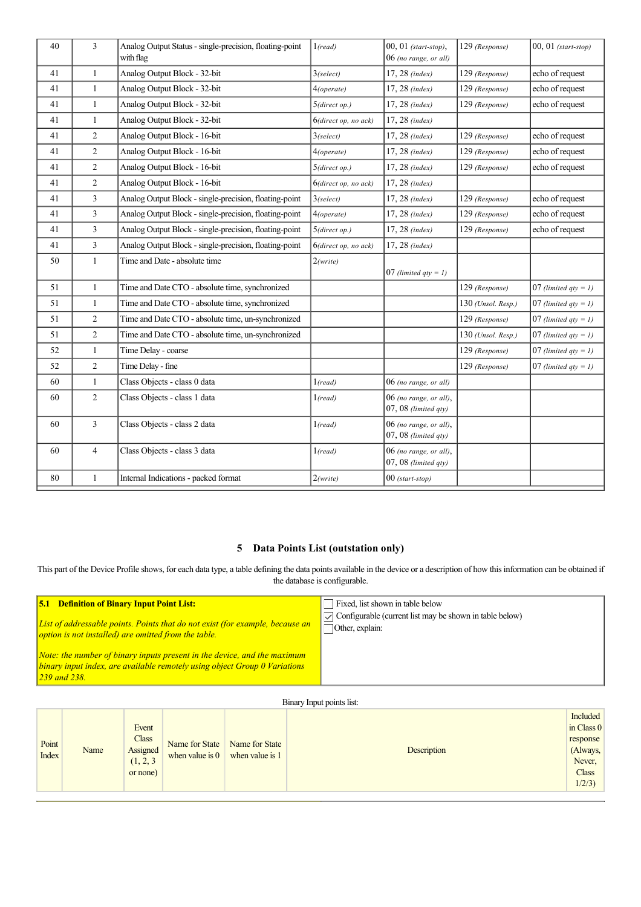| 40 | 3              | Analog Output Status - single-precision, floating-point<br>with flag | 1 (read)             | 00, 01 (start-stop),<br>06 (no range, or all)   | 129 (Response)       | $00, 01$ (start-stop)   |
|----|----------------|----------------------------------------------------------------------|----------------------|-------------------------------------------------|----------------------|-------------------------|
| 41 | $\mathbf{1}$   | Analog Output Block - 32-bit                                         | $3$ (select)         | $17, 28$ (index)                                | 129 (Response)       | echo of request         |
| 41 | $\mathbf{1}$   | Analog Output Block - 32-bit                                         | 4(operate)           | $17, 28$ (index)                                | 129 (Response)       | echo of request         |
| 41 | $\mathbf{1}$   | Analog Output Block - 32-bit                                         | 5(direct op.)        | $17, 28$ (index)                                | 129 (Response)       | echo of request         |
| 41 | $\mathbf{1}$   | Analog Output Block - 32-bit                                         | 6(direct op, no ack) | 17, 28 (index)                                  |                      |                         |
| 41 | $\overline{2}$ | Analog Output Block - 16-bit                                         | $3$ (select)         | $17, 28$ (index)                                | 129 (Response)       | echo of request         |
| 41 | $\overline{2}$ | Analog Output Block - 16-bit                                         | 4(operate)           | 17, 28 (index)                                  | 129 (Response)       | echo of request         |
| 41 | $\overline{c}$ | Analog Output Block - 16-bit                                         | 5(direct op.)        | 17, 28 (index)                                  | 129 (Response)       | echo of request         |
| 41 | $\overline{c}$ | Analog Output Block - 16-bit                                         | 6(direct op, no ack) | 17, 28 (index)                                  |                      |                         |
| 41 | $\overline{3}$ | Analog Output Block - single-precision, floating-point               | $3$ (select)         | 17, 28 (index)                                  | 129 (Response)       | echo of request         |
| 41 | 3              | Analog Output Block - single-precision, floating-point               | 4(operate)           | $17, 28$ (index)                                | 129 (Response)       | echo of request         |
| 41 | 3              | Analog Output Block - single-precision, floating-point               | 5(direct op.)        | 17, 28 (index)                                  | 129 (Response)       | echo of request         |
| 41 | $\overline{3}$ | Analog Output Block - single-precision, floating-point               | 6(direct op, no ack) | 17, 28 (index)                                  |                      |                         |
| 50 | $\mathbf{1}$   | Time and Date - absolute time                                        | 2(write)             | 07 (limited $qty = 1$ )                         |                      |                         |
| 51 | $\mathbf{1}$   | Time and Date CTO - absolute time, synchronized                      |                      |                                                 | 129 (Response)       | 07 (limited $qty = 1$ ) |
| 51 | 1              | Time and Date CTO - absolute time, synchronized                      |                      |                                                 | 130 (Unsol. Resp.)   | 07 (limited $qty = 1$ ) |
| 51 | $\overline{2}$ | Time and Date CTO - absolute time, un-synchronized                   |                      |                                                 | 129 (Response)       | 07 (limited $qty = 1$ ) |
| 51 | $\overline{2}$ | Time and Date CTO - absolute time, un-synchronized                   |                      |                                                 | $130$ (Unsol. Resp.) | 07 (limited $qty = 1$ ) |
| 52 | $\mathbf{1}$   | Time Delay - coarse                                                  |                      |                                                 | 129 (Response)       | 07 (limited $qty = 1$ ) |
| 52 | $\overline{2}$ | Time Delay - fine                                                    |                      |                                                 | 129 (Response)       | 07 (limited $qty = 1$ ) |
| 60 | $\mathbf{1}$   | Class Objects - class 0 data                                         | 1 (read)             | 06 (no range, or all)                           |                      |                         |
| 60 | $\overline{2}$ | Class Objects - class 1 data                                         | 1 (read)             | 06 (no range, or all),<br>$07,08$ (limited qty) |                      |                         |
| 60 | $\overline{3}$ | Class Objects - class 2 data                                         | 1 (read)             | 06 (no range, or all),<br>$07,08$ (limited qty) |                      |                         |
| 60 | $\overline{4}$ | Class Objects - class 3 data                                         | 1 (read)             | 06 (no range, or all),<br>$07,08$ (limited qty) |                      |                         |
| 80 | $\mathbf{1}$   | Internal Indications - packed format                                 | 2(write)             | $00$ (start-stop)                               |                      |                         |

# **5 Data Points List (outstation only)**

This part of the Device Profile shows, for each data type, a table defining the data points available in the device or a description of how this information can be obtained if the database is configurable.

| <b>5.1 Definition of Binary Input Point List:</b>                                                                                                                                            | Fixed, list shown in table below                                        |
|----------------------------------------------------------------------------------------------------------------------------------------------------------------------------------------------|-------------------------------------------------------------------------|
| List of addressable points. Points that do not exist (for example, because an                                                                                                                | $\triangledown$ Configurable (current list may be shown in table below) |
| option is not installed) are omitted from the table.                                                                                                                                         | Other, explain:                                                         |
| Note: the number of binary inputs present in the device, and the maximum<br>$\vert$ binary input index, are available remotely using object Group $0$ Variations<br>$ 239 \text{ and } 238 $ |                                                                         |

# Binary Input points list:

| Point<br>Index | Name | Event<br><b>Class</b><br>Name for State<br>Assigned<br>when value is $0$<br>(1, 2, 3)<br>or none) | Name for State<br>when value is 1 | Description | Included<br>in Class 0<br>response<br>(Always,<br>Never,<br>Class<br>1/2/3 |
|----------------|------|---------------------------------------------------------------------------------------------------|-----------------------------------|-------------|----------------------------------------------------------------------------|
|----------------|------|---------------------------------------------------------------------------------------------------|-----------------------------------|-------------|----------------------------------------------------------------------------|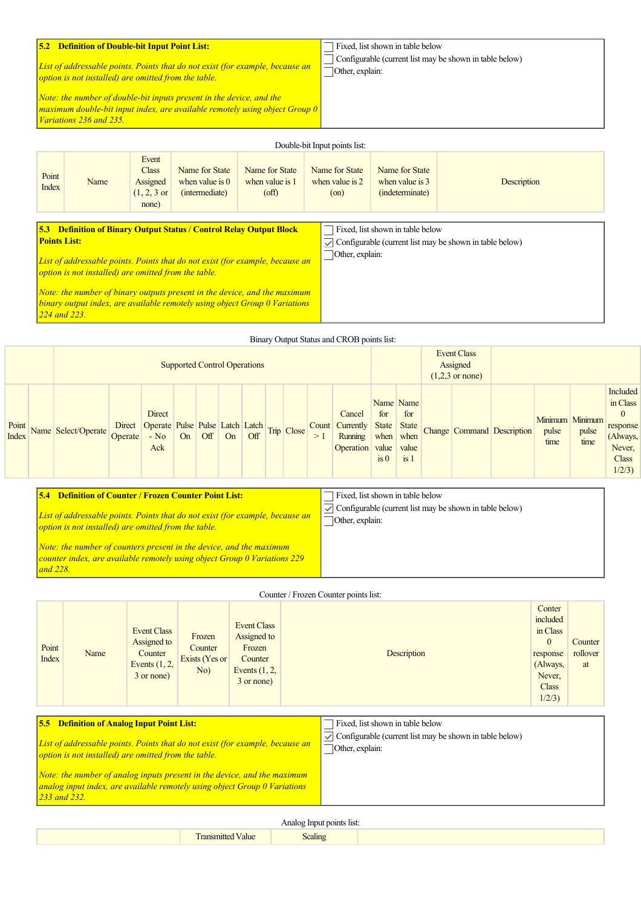### **5.2 Definition of Double-bit Input Point List:**

*List of addressable points. Points that do not exist (for example, because an option is not installed) are omitted from the table.*

*Note: the number of double-bit inputs present in the device, and the* maximum double-bit input index, are available remotely using object Group 0 *Variations 236 and 235.*

Fixed, list shown in table below Configurable (current list may be shown in table below) Other, explain:

|                                                                                                                                                                                                                           |      |                                                                      |                                                                            |                                                            | Double-bit Input points list:                                  |                                                      |                                                                         |
|---------------------------------------------------------------------------------------------------------------------------------------------------------------------------------------------------------------------------|------|----------------------------------------------------------------------|----------------------------------------------------------------------------|------------------------------------------------------------|----------------------------------------------------------------|------------------------------------------------------|-------------------------------------------------------------------------|
| Point<br>Index                                                                                                                                                                                                            | Name | Event<br><b>Class</b><br>Assigned<br>$(1, 2, 3 \text{ or }$<br>none) | Name for State<br>when value is $0$<br>(intermediate)                      | Name for State<br>when value is 1<br>$\text{(\text{off})}$ | Name for State<br>when value is $2 \overline{ }$<br>$($ on $)$ | Name for State<br>when value is 3<br>(indeterminate) | Description                                                             |
| <b>Points List:</b>                                                                                                                                                                                                       |      |                                                                      | <b>5.3 Definition of Binary Output Status / Control Relay Output Block</b> |                                                            | Other, explain:                                                | Fixed, list shown in table below                     | $\triangledown$ Configurable (current list may be shown in table below) |
| List of addressable points. Points that do not exist (for example, because an<br>option is not installed) are omitted from the table.<br><i>Note: the number of binary outputs present in the device, and the maximum</i> |      |                                                                      |                                                                            |                                                            |                                                                |                                                      |                                                                         |

*binary output index, are available remotely using object Group 0 Variations 224 and 223.*

*and 228.*

|                                     | Binary Output Status and CROB points list: |                   |                                                            |    |     |    |     |                                                      |            |             |                                                    |                                           |                                                                      |  |                            |               |                                  |                                                                                                        |
|-------------------------------------|--------------------------------------------|-------------------|------------------------------------------------------------|----|-----|----|-----|------------------------------------------------------|------------|-------------|----------------------------------------------------|-------------------------------------------|----------------------------------------------------------------------|--|----------------------------|---------------|----------------------------------|--------------------------------------------------------------------------------------------------------|
| <b>Supported Control Operations</b> |                                            |                   |                                                            |    |     |    |     | Event Class<br>Assigned<br>$(1,2,3 \text{ or none})$ |            |             |                                                    |                                           |                                                                      |  |                            |               |                                  |                                                                                                        |
| Point<br><b>Index</b>               | Name Select/Operate                        | Direct<br>Operate | Direct<br>Operate Pulse Pulse Latch Latch<br>$-$ No<br>Ack | On | Off | On | Off |                                                      | Trip Close | Count<br>>1 | Cancel<br>Currently<br>Running<br><b>Operation</b> | for<br>State<br>when<br>value<br>$\sin 0$ | Name Name<br>for<br><b>State</b><br>when<br>value<br>is <sub>1</sub> |  | Change Command Description | pulse<br>time | Minimum Minimum<br>pulse<br>time | <b>Included</b><br>in Class<br>$\mathbf{0}$<br>response<br>(Always,<br>Never,<br><b>Class</b><br>1/2/3 |

| <b>Definition of Counter / Frozen Counter Point List:</b>                                                                                               | Fixed, list shown in table below                                                                |
|---------------------------------------------------------------------------------------------------------------------------------------------------------|-------------------------------------------------------------------------------------------------|
| List of addressable points. Points that do not exist (for example, because an<br>option is not installed) are omitted from the table.                   | $\sqrt{\phantom{a}}$ Configurable (current list may be shown in table below)<br>Other, explain: |
| <i>Note: the number of counters present in the device, and the maximum</i><br>counter index, are available remotely using object Group 0 Variations 229 |                                                                                                 |

|                |                                                   |                                                                               |                                            |                                                                                         | Counter / Frozen Counter points list:                                                              |                                                                                                               |                           |
|----------------|---------------------------------------------------|-------------------------------------------------------------------------------|--------------------------------------------|-----------------------------------------------------------------------------------------|----------------------------------------------------------------------------------------------------|---------------------------------------------------------------------------------------------------------------|---------------------------|
| Point<br>Index | Name                                              | <b>Event Class</b><br>Assigned to<br>Counter<br>Events $(1, 2,$<br>3 or none) | Frozen<br>Counter<br>Exists (Yes or<br>No) | <b>Event Class</b><br>Assigned to<br>Frozen<br>Counter<br>Events $(1, 2,$<br>3 or none) | Description                                                                                        | Conter<br>included<br>in Class<br>$\mathbf{0}$<br>response<br>(Always,<br>Never,<br><b>Class</b><br>$1/2/3$ ) | Counter<br>rollover<br>at |
|                | <b>5.5 Definition of Analog Input Point List:</b> |                                                                               |                                            |                                                                                         | Fixed, list shown in table below<br>$\Box$ Configurable (quinont list may be charm in table holam) |                                                                                                               |                           |

*List of addressable points. Points that do not exist (for example, because an option is not installed) are omitted from the table. Note: the number of analog inputs present in the device, and the maximum analog input index, are available remotely using object Group 0 Variations 233 and 232.*  $\sqrt{\ }$  Configurable (current list may be shown in table below) Other, explain:

| r Input points list:<br>Analog <sup>-</sup> |                                           |                                |  |  |  |  |  |  |
|---------------------------------------------|-------------------------------------------|--------------------------------|--|--|--|--|--|--|
|                                             | $\sim$<br>$\mathbf{r}$<br>Value<br>mnamit | $\cdot$ .<br>$\sim$<br>Scaling |  |  |  |  |  |  |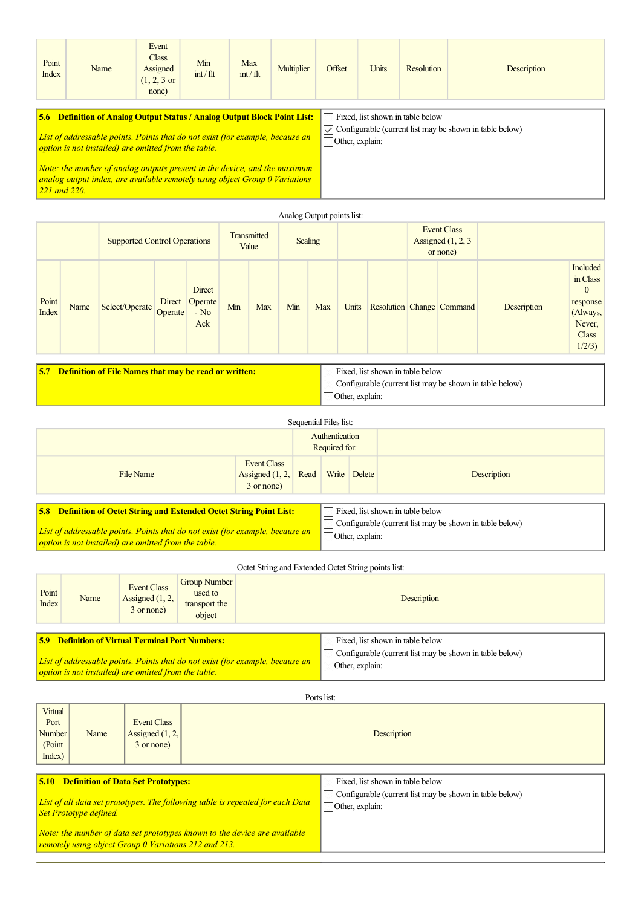| Point<br>Name<br>Index                                                                                                                                                                                                                                                                                                                                                               | Event<br><b>Class</b><br>Assigned<br>$(1, 2, 3 \text{ or }$<br>none) | Min<br>$int / f$ lt | Max<br>$int / f$ lt | Multiplier | Offset          | Units | <b>Resolution</b>                | Description                                             |
|--------------------------------------------------------------------------------------------------------------------------------------------------------------------------------------------------------------------------------------------------------------------------------------------------------------------------------------------------------------------------------------|----------------------------------------------------------------------|---------------------|---------------------|------------|-----------------|-------|----------------------------------|---------------------------------------------------------|
| <b>5.6 Definition of Analog Output Status / Analog Output Block Point List:</b><br>List of addressable points. Points that do not exist (for example, because an<br>option is not installed) are omitted from the table.<br>Note: the number of analog outputs present in the device, and the maximum<br>analog output index, are available remotely using object Group 0 Variations |                                                                      |                     |                     |            | Other, explain: |       | Fixed, list shown in table below | Configurable (current list may be shown in table below) |

|                |      |                                                                  |                     |                                    |     |         | Analog Output points list: |            |                 |                                                        |  |                           |                                                         |                                                                                                 |
|----------------|------|------------------------------------------------------------------|---------------------|------------------------------------|-----|---------|----------------------------|------------|-----------------|--------------------------------------------------------|--|---------------------------|---------------------------------------------------------|-------------------------------------------------------------------------------------------------|
|                |      | <b>Supported Control Operations</b>                              |                     | Transmitted<br>Value               |     | Scaling |                            |            |                 | <b>Event Class</b><br>Assigned $(1, 2, 3)$<br>or none) |  |                           |                                                         |                                                                                                 |
| Point<br>Index | Name | Select/Operate                                                   | Direct  <br>Operate | Direct<br>Operate<br>$-$ No<br>Ack | Min | Max     | Min                        | <b>Max</b> | Units           |                                                        |  | Resolution Change Command | Description                                             | Included<br>in Class<br>$\mathbf{0}$<br>response<br>(Always,<br>Never,<br><b>Class</b><br>1/2/3 |
|                |      | <b>5.7 Definition of File Names that may be read or written:</b> |                     |                                    |     |         |                            |            | Other, explain: | Fixed, list shown in table below                       |  |                           | Configurable (current list may be shown in table below) |                                                                                                 |

|                                                                                                                                                              |                                                | Sequential Files list: |                                 |                 |                                                                                             |
|--------------------------------------------------------------------------------------------------------------------------------------------------------------|------------------------------------------------|------------------------|---------------------------------|-----------------|---------------------------------------------------------------------------------------------|
|                                                                                                                                                              |                                                |                        | Authentication<br>Required for: |                 |                                                                                             |
| File Name                                                                                                                                                    | Event Class<br>Assigned $(1, 2,$<br>3 or none) | Read                   | Write                           | Delete          | Description                                                                                 |
| <b>5.8 Definition of Octet String and Extended Octet String Point List:</b><br>List of addressable points. Points that do not exist (for example, because an |                                                |                        |                                 | Other, explain: | Fixed, list shown in table below<br>Configurable (current list may be shown in table below) |

*option is not installed) are omitted from the table.*

Octet String and Extended Octet String points list:

| Point<br><b>Index</b> | Name | Event Class<br>Assigned $(1, 2,$<br>3 or none)                                                                  | <b>Group Number</b><br>used to<br>transport the<br>object |                                                                               | <b>Description</b>                                                                                             |
|-----------------------|------|-----------------------------------------------------------------------------------------------------------------|-----------------------------------------------------------|-------------------------------------------------------------------------------|----------------------------------------------------------------------------------------------------------------|
|                       |      | <b>5.9 Definition of Virtual Terminal Port Numbers:</b><br>option is not installed) are omitted from the table. |                                                           | List of addressable points. Points that do not exist (for example, because an | Fixed, list shown in table below<br>Configurable (current list may be shown in table below)<br>Other, explain: |

|                                               |      |                                                       | Ports list:                                                                                        |
|-----------------------------------------------|------|-------------------------------------------------------|----------------------------------------------------------------------------------------------------|
| Virtual<br>Port<br>Number<br>(Point<br>Index) | Name | <b>Event Class</b><br>Assigned $(1, 2,$<br>3 or none) | Description                                                                                        |
|                                               |      | <b>5.10 Definition of Data Set Prototypes:</b>        | Fixed, list shown in table below<br>$\Box$ Configurable (current list may be shown in table below) |

| List of all data set prototypes. The following table is repeated for each Data $\Box$ Other, |  |
|----------------------------------------------------------------------------------------------|--|
| <b>Set Prototype defined.</b>                                                                |  |

*Note: the number of data set prototypes known to the device are available remotely using object Group 0 Variations 212 and 213.*

# Configurable (current list may be shown in table below) , explain: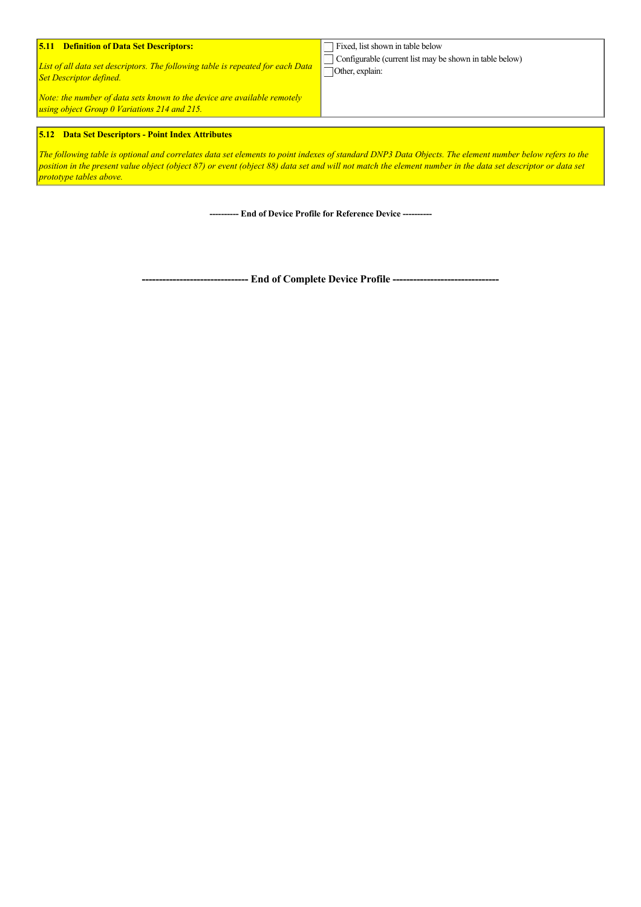| List of all data set descriptors. The following table is repeated for each Data<br><b>Set Descriptor defined.</b>        | $\Box$ Configurable (current list may be shown in table below)<br>Other, explain: |
|--------------------------------------------------------------------------------------------------------------------------|-----------------------------------------------------------------------------------|
| Note: the number of data sets known to the device are available remotely<br>using object Group 0 Variations 214 and 215. |                                                                                   |

## **5.12 Data Set Descriptors - Point Index Attributes**

*The following table is optional and correlates data set elements to point indexes of standard DNP3 Data Objects. The element number below refers to the position in the present value object (object 87) or event (object 88) data set and will not match the element number in the data set descriptor or data set prototype tables above.*

 **End of Device Profile for Reference Device** 

 **End of Complete Device Profile**